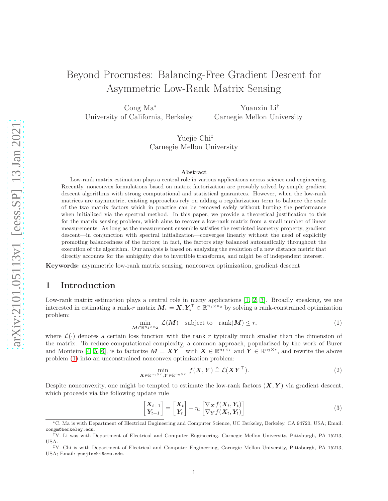# Beyond Procrustes: Balancing-Free Gradient Descent for Asymmetric Low-Rank Matrix Sensing

Cong Ma<sup>∗</sup> University of California, Berkeley

Yuanxin Li† Carnegie Mellon University

Yuejie Chi‡ Carnegie Mellon University

#### Abstract

Low-rank matrix estimation plays a central role in various applications across science and engineering. Recently, nonconvex formulations based on matrix factorization are provably solved by simple gradient descent algorithms with strong computational and statistical guarantees. However, when the low-rank matrices are asymmetric, existing approaches rely on adding a regularization term to balance the scale of the two matrix factors which in practice can be removed safely without hurting the performance when initialized via the spectral method. In this paper, we provide a theoretical justification to this for the matrix sensing problem, which aims to recover a low-rank matrix from a small number of linear measurements. As long as the measurement ensemble satisfies the restricted isometry property, gradient descent—in conjunction with spectral initialization—converges linearly without the need of explicitly promoting balancedness of the factors; in fact, the factors stay balanced automatically throughout the execution of the algorithm. Our analysis is based on analyzing the evolution of a new distance metric that directly accounts for the ambiguity due to invertible transforms, and might be of independent interest.

Keywords: asymmetric low-rank matrix sensing, nonconvex optimization, gradient descent

### 1 Introduction

Low-rank matrix estimation plays a central role in many applications [\[1,](#page-15-0) [2,](#page-16-0) [3\]](#page-16-1). Broadly speaking, we are interested in estimating a rank-r matrix  $M_{\star} = X_{\star} Y_{\star}^{\top} \in \mathbb{R}^{n_1 \times n_2}$  by solving a rank-constrained optimization problem:

<span id="page-0-0"></span>
$$
\min_{\mathbf{M}\in\mathbb{R}^{n_1\times n_2}} \mathcal{L}(\mathbf{M}) \quad \text{subject to} \quad \text{rank}(\mathbf{M}) \le r,\tag{1}
$$

where  $\mathcal{L}(\cdot)$  denotes a certain loss function with the rank r typically much smaller than the dimension of the matrix. To reduce computational complexity, a common approach, popularized by the work of Burer and Monteiro [\[4,](#page-16-2) [5,](#page-16-3) [6\]](#page-16-4), is to factorize  $M = XY^{\top}$  with  $X \in \mathbb{R}^{n_1 \times r}$  and  $Y \in \mathbb{R}^{n_2 \times r}$ , and rewrite the above problem [\(1\)](#page-0-0) into an unconstrained nonconvex optimization problem:

$$
\min_{\mathbf{X} \in \mathbb{R}^{n_1 \times r}, \mathbf{Y} \in \mathbb{R}^{n_2 \times r}} f(\mathbf{X}, \mathbf{Y}) \triangleq \mathcal{L}(\mathbf{X} \mathbf{Y}^{\top}).
$$
\n(2)

Despite nonconvexity, one might be tempted to estimate the low-rank factors  $(X, Y)$  via gradient descent, which proceeds via the following update rule

<span id="page-0-1"></span>
$$
\begin{bmatrix} \mathbf{X}_{t+1} \\ \mathbf{Y}_{t+1} \end{bmatrix} = \begin{bmatrix} \mathbf{X}_t \\ \mathbf{Y}_t \end{bmatrix} - \eta_t \begin{bmatrix} \nabla_{\mathbf{X}} f(\mathbf{X}_t, \mathbf{Y}_t) \\ \nabla_{\mathbf{Y}} f(\mathbf{X}_t, \mathbf{Y}_t) \end{bmatrix}
$$
\n(3)

<sup>∗</sup>C. Ma is with Department of Electrical Engineering and Computer Science, UC Berkeley, Berkeley, CA 94720, USA; Email: congm@berkeley.edu.

<sup>†</sup>Y. Li was with Department of Electrical and Computer Engineering, Carnegie Mellon University, Pittsburgh, PA 15213, USA.

<sup>‡</sup>Y. Chi is with Department of Electrical and Computer Engineering, Carnegie Mellon University, Pittsburgh, PA 15213, USA; Email: yuejiechi@cmu.edu.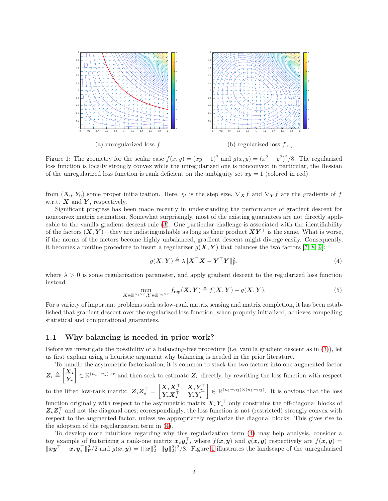

<span id="page-1-1"></span>Figure 1: The geometry for the scalar case  $f(x, y) = (xy - 1)^2$  and  $g(x, y) = (x^2 - y^2)^2/8$ . The regularized loss function is locally strongly convex while the unregularized one is nonconvex; in particular, the Hessian of the unregularized loss function is rank deficient on the ambiguity set  $xy = 1$  (colored in red).

from  $(X_0, Y_0)$  some proper initialization. Here,  $\eta_t$  is the step size,  $\nabla_X f$  and  $\nabla_Y f$  are the gradients of f w.r.t.  $X$  and  $Y$ , respectively.

Significant progress has been made recently in understanding the performance of gradient descent for nonconvex matrix estimation. Somewhat surprisingly, most of the existing guarantees are not directly applicable to the vanilla gradient descent rule [\(3\)](#page-0-1). One particular challenge is associated with the identifiability of the factors  $(X, Y)$ —they are indistinguishable as long as their product  $XY^{\top}$  is the same. What is worse, if the norms of the factors become highly unbalanced, gradient descent might diverge easily. Consequently, it becomes a routine procedure to insert a regularizer  $g(X, Y)$  that balances the two factors [\[7,](#page-16-5) [8,](#page-16-6) [9\]](#page-16-7):

<span id="page-1-0"></span>
$$
g(\mathbf{X}, \mathbf{Y}) \triangleq \lambda \|\mathbf{X}^{\top} \mathbf{X} - \mathbf{Y}^{\top} \mathbf{Y} \|_{\text{F}}^2,
$$
\n<sup>(4)</sup>

where  $\lambda > 0$  is some regularization parameter, and apply gradient descent to the regularized loss function instead:

<span id="page-1-2"></span>
$$
\min_{\mathbf{X} \in \mathbb{R}^{n_1 \times r}, \mathbf{Y} \in \mathbb{R}^{n_2 \times r}} f_{\text{reg}}(\mathbf{X}, \mathbf{Y}) \triangleq f(\mathbf{X}, \mathbf{Y}) + g(\mathbf{X}, \mathbf{Y}).
$$
\n(5)

For a variety of important problems such as low-rank matrix sensing and matrix completion, it has been established that gradient descent over the regularized loss function, when properly initialized, achieves compelling statistical and computational guarantees.

#### 1.1 Why balancing is needed in prior work?

Before we investigate the possibility of a balancing-free procedure (i.e. vanilla gradient descent as in [\(3\)](#page-0-1)), let us first explain using a heuristic argument why balancing is needed in the prior literature.

To handle the asymmetric factorization, it is common to stack the two factors into one augmented factor  $\boldsymbol{Z}_{\star}\triangleq$  $\left\lceil X_{\star}\right\rceil$  $Y_{\star}$  $\mathcal{E} \in \mathbb{R}^{(n_1+n_2)\times r}$  and then seek to estimate  $\mathbf{Z}_{\star}$  directly, by rewriting the loss function with respect to the lifted low-rank matrix:  $Z_{\star}Z_{\star}^{\top} =$  $\begin{bmatrix} X_\star X_\star^\top & X_\star Y_\star^\top \\ Y_\star X_\star^\top & Y_\star Y_\star^\top \end{bmatrix}$  $\Big] \in \mathbb{R}^{(n_1+n_2)\times(n_1+n_2)}$ . It is obvious that the loss

function originally with respect to the asymmetric matrix  $X_{\star} Y_{\star}^{\top}$  only constrains the off-diagonal blocks of  $Z_{\star}Z_{\star}^{\top}$  and not the diagonal ones; correspondingly, the loss function is not (restricted) strongly convex with respect to the augmented factor, unless we appropriately regularize the diagonal blocks. This gives rise to the adoption of the regularization term in [\(4\)](#page-1-0).

To develop more intuitions regarding why this regularization term [\(4\)](#page-1-0) may help analysis, consider a toy example of factorizing a rank-one matrix  $x_{\star}y_{\star}^{\top}$ , where  $f(x, y)$  and  $g(x, y)$  respectively are  $f(x, y)$  =  $||xy^\top - x_\star y_\star^\top||_F^2/2$  and  $g(x, y) = (||x||_2^2 - ||y||_2^2)^2/8$ . Figure [1](#page-1-1) illustrates the landscape of the unregularized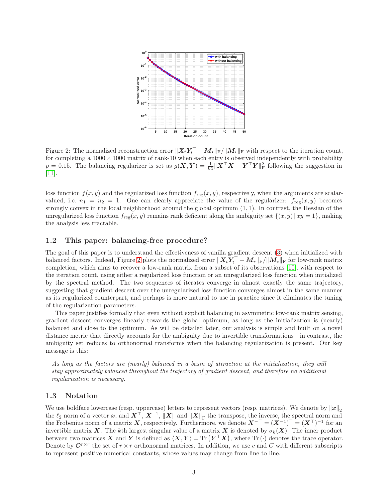

<span id="page-2-0"></span>Figure 2: The normalized reconstruction error  $||X_t Y_t^\top - M_\star||_F / ||M_\star||_F$  with respect to the iteration count, for completing a  $1000 \times 1000$  matrix of rank-10 when each entry is observed independently with probability  $p = 0.15$ . The balancing regularizer is set as  $g(X, Y) = \frac{1}{64} ||X^{\top}X - Y^{\top}Y||_F^2$  following the suggestion in  $|11|$ .

loss function  $f(x, y)$  and the regularized loss function  $f_{reg}(x, y)$ , respectively, when the arguments are scalarvalued, i.e.  $n_1 = n_2 = 1$ . One can clearly appreciate the value of the regularizer:  $f_{reg}(x, y)$  becomes strongly convex in the local neighborhood around the global optimum (1, 1). In contrast, the Hessian of the unregularized loss function  $f_{reg}(x, y)$  remains rank deficient along the ambiguity set  $\{(x, y) | xy = 1\}$ , making the analysis less tractable.

#### 1.2 This paper: balancing-free procedure?

The goal of this paper is to understand the effectiveness of vanilla gradient descent [\(3\)](#page-0-1) when initialized with balanced factors. Indeed, Figure [2](#page-2-0) plots the normalized error  $||X_tY_t^\top - M_\star||_F/||M_\star||_F$  for low-rank matrix completion, which aims to recover a low-rank matrix from a subset of its observations [\[10\]](#page-16-9), with respect to the iteration count, using either a regularized loss function or an unregularized loss function when initialized by the spectral method. The two sequences of iterates converge in almost exactly the same trajectory, suggesting that gradient descent over the unregularized loss function converges almost in the same manner as its regularized counterpart, and perhaps is more natural to use in practice since it eliminates the tuning of the regularization parameters.

This paper justifies formally that even without explicit balancing in asymmetric low-rank matrix sensing, gradient descent converges linearly towards the global optimum, as long as the initialization is (nearly) balanced and close to the optimum. As will be detailed later, our analysis is simple and built on a novel distance metric that directly accounts for the ambiguity due to invertible transformations—in contrast, the ambiguity set reduces to orthonormal transforms when the balancing regularization is present. Our key message is this:

As long as the factors are (nearly) balanced in a basin of attraction at the initialization, they will stay approximately balanced throughout the trajectory of gradient descent, and therefore no additional regularization is necessary.

### 1.3 Notation

We use boldface lowercase (resp. uppercase) letters to represent vectors (resp. matrices). We denote by  $\|\boldsymbol{x}\|_2$ the  $\ell_2$  norm of a vector x, and  $X^{\top}$ ,  $X^{-1}$ ,  $||X||$  and  $||X||_F$  the transpose, the inverse, the spectral norm and the Frobenius norm of a matrix X, respectively. Furthermore, we denote  $X^{-\top} = (X^{-1})^{\top} = (X^{\top})^{-1}$  for an invertible matrix X. The kth largest singular value of a matrix X is denoted by  $\sigma_k(X)$ . The inner product between two matrices X and Y is defined as  $\langle X, Y \rangle = \text{Tr} (Y^{\top} X)$ , where  $\text{Tr} (\cdot)$  denotes the trace operator. Denote by  $\mathcal{O}^{r \times r}$  the set of  $r \times r$  orthonormal matrices. In addition, we use c and C with different subscripts to represent positive numerical constants, whose values may change from line to line.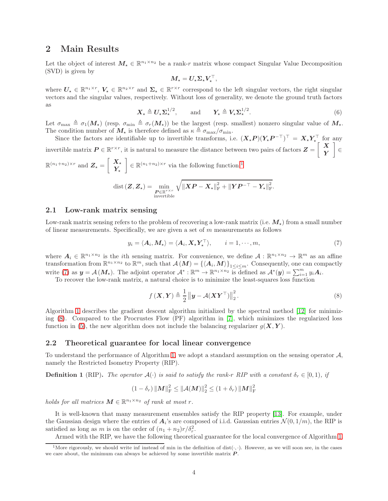### 2 Main Results

Let the object of interest  $M_{\star} \in \mathbb{R}^{n_1 \times n_2}$  be a rank-r matrix whose compact Singular Value Decomposition (SVD) is given by

$$
M_\star = U_\star \Sigma_\star V_\star^\top,
$$

where  $U_{\star} \in \mathbb{R}^{n_1 \times r}$ ,  $V_{\star} \in \mathbb{R}^{n_2 \times r}$  and  $\Sigma_{\star} \in \mathbb{R}^{r \times r}$  correspond to the left singular vectors, the right singular vectors and the singular values, respectively. Without loss of generality, we denote the ground truth factors as

$$
\boldsymbol{X}_{\star} \triangleq \boldsymbol{U}_{\star} \boldsymbol{\Sigma}_{\star}^{1/2}, \quad \text{and} \quad \boldsymbol{Y}_{\star} \triangleq \boldsymbol{V}_{\star} \boldsymbol{\Sigma}_{\star}^{1/2}.
$$

Let  $\sigma_{\max} \triangleq \sigma_1(M_{\star})$  (resp.  $\sigma_{\min} \triangleq \sigma_r(M_{\star})$ ) be the largest (resp. smallest) nonzero singular value of  $M_{\star}$ . The condition number of  $M_{\star}$  is therefore defined as  $\kappa \triangleq \sigma_{\max}/\sigma_{\min}$ .

Since the factors are identifiable up to invertible transforms, i.e.  $(X_{\star}P)(Y_{\star}P^{-\top})^{\top} = X_{\star}Y_{\star}^{\top}$  for any invertible matrix  $P \in \mathbb{R}^{r \times r}$ , it is natural to measure the distance between two pairs of factors  $Z =$  $\begin{bmatrix} X \end{bmatrix}$ Y 1 ∈  $\mathbb{R}^{(n_1+n_2)\times r}$  and  $\mathbf{Z}_{\star} = \begin{bmatrix} \mathbf{X}_{\star} \\ \mathbf{V} \end{bmatrix}$  $Y_{\star}$  $\mathbb{R}^{(n_1+n_2)\times r}$  $\mathbb{R}^{(n_1+n_2)\times r}$  $\mathbb{R}^{(n_1+n_2)\times r}$  via the following function:<sup>1</sup>

$$
\operatorname{dist}\left(\boldsymbol{Z},\boldsymbol{Z}_{\star}\right)=\min_{\substack{\boldsymbol{P}\in\mathbb{R}^{r\times r}\\ \text{invertible}}}\sqrt{\left\|\boldsymbol{X}\boldsymbol{P}-\boldsymbol{X}_{\star}\right\|_{\text{F}}^{2}+\left\|\boldsymbol{Y}\boldsymbol{P}^{-\top}-\boldsymbol{Y}_{\star}\right\|_{\text{F}}^{2}}.
$$

### 2.1 Low-rank matrix sensing

Low-rank matrix sensing refers to the problem of recovering a low-rank matrix (i.e.  $M_{\star}$ ) from a small number of linear measurements. Specifically, we are given a set of  $m$  measurements as follows

<span id="page-3-1"></span>
$$
y_i = \langle A_i, M_{\star} \rangle = \langle A_i, X_{\star} Y_{\star}^{\top} \rangle, \qquad i = 1, \cdots, m,
$$
 (7)

where  $A_i \in \mathbb{R}^{n_1 \times n_2}$  is the *i*th sensing matrix. For convenience, we define  $A: \mathbb{R}^{n_1 \times n_2} \to \mathbb{R}^m$  as an affine transformation from  $\mathbb{R}^{n_1 \times n_2}$  to  $\mathbb{R}^m$ , such that  $\mathcal{A}(M) = {\langle A_i, M \rangle}_{1 \leq i \leq m}$ . Consequently, one can compactly write [\(7\)](#page-3-1) as  $y = A(M_\star)$ . The adjoint operator  $A^* : \mathbb{R}^m \to \mathbb{R}^{n_1 \times n_2}$  is defined as  $A^*(y) = \sum_{i=1}^m y_i A_i$ .

To recover the low-rank matrix, a natural choice is to minimize the least-squares loss function

<span id="page-3-2"></span>
$$
f(\boldsymbol{X}, \boldsymbol{Y}) \triangleq \frac{1}{2} ||\boldsymbol{y} - \mathcal{A}(\boldsymbol{X}\boldsymbol{Y}^{\top})||_2^2.
$$
 (8)

Algorithm [1](#page-4-0) describes the gradient descent algorithm initialized by the spectral method [\[12\]](#page-16-10) for minimizing [\(8\)](#page-3-2). Compared to the Procrustes Flow (PF) algorithm in [\[7\]](#page-16-5), which minimizes the regularized loss function in [\(5\)](#page-1-2), the new algorithm does not include the balancing regularizer  $g(X, Y)$ .

#### 2.2 Theoretical guarantee for local linear convergence

To understand the performance of Algorithm [1,](#page-4-0) we adopt a standard assumption on the sensing operator A, namely the Restricted Isometry Property (RIP).

**Definition 1** (RIP). The operator  $\mathcal{A}(\cdot)$  is said to satisfy the rank-r RIP with a constant  $\delta_r \in [0,1)$ , if

$$
(1 - \delta_r) \left\| \boldsymbol{M} \right\|_{\mathrm{F}}^2 \leq \left\| \mathcal{A}(\boldsymbol{M}) \right\|_2^2 \leq (1 + \delta_r) \left\| \boldsymbol{M} \right\|_{\mathrm{F}}^2
$$

holds for all matrices  $M \in \mathbb{R}^{n_1 \times n_2}$  of rank at most r.

It is well-known that many measurement ensembles satisfy the RIP property [\[13\]](#page-16-11). For example, under the Gaussian design where the entries of  $A_i$ 's are composed of i.i.d. Gaussian entries  $\mathcal{N}(0, 1/m)$ , the RIP is satisfied as long as m is on the order of  $(n_1 + n_2)r/\delta_r^2$ .

Armed with the RIP, we have the following theoretical guarantee for the local convergence of Algorithm [1.](#page-4-0)

<span id="page-3-0"></span><sup>&</sup>lt;sup>1</sup>More rigorously, we should write inf instead of min in the definition of dist( $\cdot, \cdot$ ). However, as we will soon see, in the cases we care about, the minimum can always be achieved by some invertible matrix  $P$ .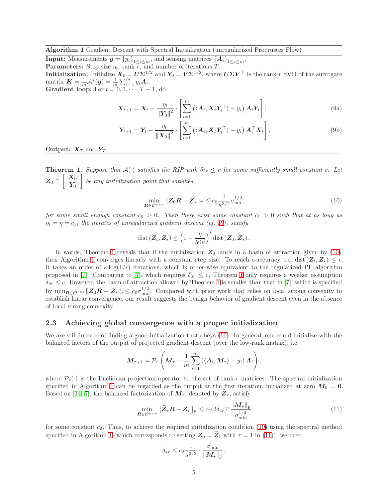#### <span id="page-4-0"></span>Algorithm 1 Gradient Descent with Spectral Initialization (unregularized Procrustes Flow)

**Input:** Measurements  $y = {y_i}_{1 \leq i \leq m}$ , and sensing matrices  ${A_i}_{1 \leq i \leq m}$ . **Parameters:** Step size  $\eta_t$ , rank  $\overline{r}$ , and number of iterations T. **Initialization:** Initialize  $X_0 = U \Sigma^{1/2}$  and  $Y_0 = V \Sigma^{1/2}$ , where  $U \Sigma V^{\top}$  is the rank-r SVD of the surrogate matrix  $\boldsymbol{K} = \frac{1}{m} \mathcal{A}^*(\boldsymbol{y}) = \frac{1}{m} \sum_{i=1}^m y_i \boldsymbol{A}_i.$ **Gradient loop:** For  $t = 0, 1, \dots, T-1$ , do

<span id="page-4-1"></span>
$$
\boldsymbol{X}_{t+1} = \boldsymbol{X}_t - \frac{\eta_t}{\|\boldsymbol{Y}_0\|^2} \cdot \left[ \sum_{i=1}^m \left( \langle \boldsymbol{A}_i, \boldsymbol{X}_t \boldsymbol{Y}_t^\top \rangle - y_i \right) \boldsymbol{A}_i \boldsymbol{Y}_t \right];\tag{9a}
$$

$$
\boldsymbol{Y}_{t+1} = \boldsymbol{Y}_t - \frac{\eta_t}{\left\| \boldsymbol{X}_0 \right\|^2} \cdot \left[ \sum_{i=1}^m \left( \langle \boldsymbol{A}_i, \boldsymbol{X}_t \boldsymbol{Y}_t^\top \rangle - y_i \right) \boldsymbol{A}_i^\top \boldsymbol{X}_t \right]. \tag{9b}
$$

#### **Output:**  $X_T$  and  $Y_T$ .

<span id="page-4-2"></span>**Theorem 1.** Suppose that  $A(\cdot)$  satisfies the RIP with  $\delta_{2r} \leq c$  for some sufficiently small constant c. Let  $\bm{Z}_0 \triangleq$  $\begin{bmatrix} X_0 \end{bmatrix}$  $\boldsymbol{Y_0}$ 1 be any initialization point that satisfies

<span id="page-4-3"></span>
$$
\min_{\mathbf{R}\in\mathcal{O}^{r\times r}}\|\mathbf{Z}_0\mathbf{R}-\mathbf{Z}_\star\|_{\mathrm{F}} \le c_0 \frac{1}{\kappa^{3/2}} \sigma_{\min}^{1/2},\tag{10}
$$

for some small enough constant  $c_0 > 0$ . Then there exist some constant  $c_1 > 0$  such that at as long as  $\eta_t = \eta = c_1$ , the iterates of unregularized gradient descent (cf. [\(9\)](#page-4-1)) satisfy

$$
\operatorname{dist}(\boldsymbol{Z}_t, \boldsymbol{Z}_\star) \leq \left(1 - \frac{\eta}{50\kappa}\right)^t \operatorname{dist}(\boldsymbol{Z}_0, \boldsymbol{Z}_\star).
$$

In words, Theorem [1](#page-4-2) reveals that if the initialization  $Z_0$  lands in a basin of attraction given by [\(10\)](#page-4-3), then Algorithm [1](#page-4-0) converges linearly with a constant step size. To reach  $\epsilon$ -accuracy, i.e. dist  $(Z_t, Z_\star) \leq \epsilon$ , it takes an order of  $\kappa \log(1/\epsilon)$  iterations, which is order-wise equivalent to the regularized PF algorithm proposed in [\[7\]](#page-16-5). Comparing to [7], which requires  $\delta_{6r} \leq c$ , Theorem [1](#page-4-2) only requires a weaker assumption  $\delta_{2r} \leq c$ . However, the basin of attraction allowed by Theorem [1](#page-4-2) is smaller than that in [\[7\]](#page-16-5), which is specified by  $\min_{\mathbf{R}\in\mathcal{O}^{r\times r}}\|\mathbf{Z}_0\mathbf{R}-\mathbf{Z}_\star\|_{\text{F}}\leq c_0\sigma_{\min}^{1/2}$ . Compared with prior work that relies on local strong convexity to establish linear convergence, our result suggests the benign behavior of gradient descent even in the absence of local strong convexity.

#### 2.3 Achieving global convergence with a proper initialization

We are still in need of finding a good initialization that obeys [\(10\)](#page-4-3). In general, one could initialize with the balanced factors of the output of projected gradient descent (over the low-rank matrix), i.e.

$$
\boldsymbol{M}_{\tau+1} = \mathcal{P}_r\left(\boldsymbol{M}_{\tau} - \frac{1}{m}\sum_{i=1}^m\left(\langle \boldsymbol{A}_i,\boldsymbol{M}_{\tau}\rangle - y_i\right)\boldsymbol{A}_i\right),
$$

where  $\mathcal{P}_r(\cdot)$  is the Euclidean projection operator to the set of rank-r matrices. The spectral initialization specified in Algorithm [1](#page-4-0) can be regarded as the output at the first iteration, initialized at zero  $M_0 = 0$ . Based on [\[14,](#page-16-12) [7\]](#page-16-5), the balanced factorization of  $M_{\tau}$ , denoted by  $Z_{\tau}$ , satisfy

<span id="page-4-4"></span>
$$
\min_{\boldsymbol{R}\in\mathcal{O}^{r\times r}} \|\widetilde{\boldsymbol{Z}}_{\tau}\boldsymbol{R} - \boldsymbol{Z}_{\star}\|_{\mathrm{F}} \leq c_2 (2\delta_{4r})^{\tau} \frac{\|\boldsymbol{M}_{\star}\|_{\mathrm{F}}}{\sigma_{\min}^{1/2}} \tag{11}
$$

for some constant  $c_2$ . Thus, to achieve the required initialization condition [\(10\)](#page-4-3) using the spectral method specified in Algorithm [1](#page-4-0) (which corresponds to setting  $Z_0 = Z_1$  with  $\tau = 1$  in [\(11\)](#page-4-4)), we need

$$
\delta_{4r} \le c_2 \frac{1}{\kappa^{3/2}} \cdot \frac{\sigma_{\min}}{\|M_{\star}\|_{\mathrm{F}}}.
$$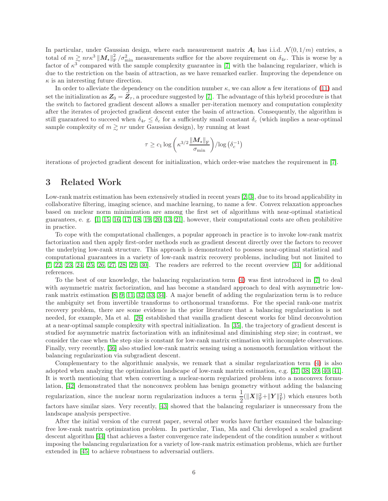In particular, under Gaussian design, where each measurement matrix  $A_i$  has i.i.d.  $\mathcal{N}(0, 1/m)$  entries, a total of  $m \gtrsim nr\kappa^3 ||\mathbf{M}_{\star}||^2_F/\sigma_{\min}^2$  measurements suffice for the above requirement on  $\delta_{4r}$ . This is worse by a factor of  $\kappa^3$  compared with the sample complexity guarantee in [\[7\]](#page-16-5) with the balancing regularizer, which is due to the restriction on the basin of attraction, as we have remarked earlier. Improving the dependence on  $\kappa$  is an interesting future direction.

In order to alleviate the dependency on the condition number  $\kappa$ , we can allow a few iterations of [\(11\)](#page-4-4) and set the initialization as  $Z_0 = \bar{Z}_\tau$ , a procedure suggested by [\[7\]](#page-16-5). The advantage of this hybrid procedure is that the switch to factored gradient descent allows a smaller per-iteration memory and computation complexity after the iterates of projected gradient descent enter the basin of attraction. Consequently, the algorithm is still guaranteed to succeed when  $\delta_{4r} \leq \delta_c$  for a sufficiently small constant  $\delta_c$  (which implies a near-optimal sample complexity of  $m \gtrsim nr$  under Gaussian design), by running at least

$$
\tau \geq c_1 \log \left( \kappa^{3/2} \frac{\|\mathcal{\bm{M}}_{\star}\|_{\text{F}}}{\sigma_{\min}} \right) / \log \left( \delta_c^{-1} \right)
$$

iterations of projected gradient descent for initialization, which order-wise matches the requirement in [\[7\]](#page-16-5).

### 3 Related Work

Low-rank matrix estimation has been extensively studied in recent years [\[2,](#page-16-0) [3\]](#page-16-1), due to its broad applicability in collaborative filtering, imaging science, and machine learning, to name a few. Convex relaxation approaches based on nuclear norm minimization are among the first set of algorithms with near-optimal statistical guarantees, e. g. [\[1,](#page-15-0) [15,](#page-16-13) [16,](#page-16-14) [17,](#page-16-15) [18,](#page-16-16) [19,](#page-16-17) [20,](#page-16-18) [13,](#page-16-11) [21\]](#page-16-19), however, their computational costs are often prohibitive in practice.

To cope with the computational challenges, a popular approach in practice is to invoke low-rank matrix factorization and then apply first-order methods such as gradient descent directly over the factors to recover the underlying low-rank structure. This approach is demonstrated to possess near-optimal statistical and computational guarantees in a variety of low-rank matrix recovery problems, including but not limited to [\[7,](#page-16-5) [22,](#page-17-0) [23,](#page-17-1) [24,](#page-17-2) [25,](#page-17-3) [26,](#page-17-4) [27,](#page-17-5) [28,](#page-17-6) [29,](#page-17-7) [30\]](#page-17-8). The readers are referred to the recent overview [\[31\]](#page-17-9) for additional references.

To the best of our knowledge, the balancing regularization term [\(4\)](#page-1-0) was first introduced in [\[7\]](#page-16-5) to deal with asymmetric matrix factorization, and has become a standard approach to deal with asymmetric lowrank matrix estimation [\[8,](#page-16-6) [9,](#page-16-7) [11,](#page-16-8) [32,](#page-17-10) [33,](#page-17-11) [34\]](#page-17-12). A major benefit of adding the regularization term is to reduce the ambiguity set from invertible transforms to orthonormal transforms. For the special rank-one matrix recovery problem, there are some evidence in the prior literature that a balancing regularization is not needed, for example, Ma et al. [\[26\]](#page-17-4) established that vanilla gradient descent works for blind deconvolution at a near-optimal sample complexity with spectral initialization. In [\[35\]](#page-17-13), the trajectory of gradient descent is studied for asymmetric matrix factorization with an infinitesimal and diminishing step size; in contrast, we consider the case when the step size is constant for low-rank matrix estimation with incomplete observations. Finally, very recently, [\[36\]](#page-17-14) also studied low-rank matrix sensing using a nonsmooth formulation without the balancing regularization via subgradient descent.

Complementary to the algorithmic analysis, we remark that a similar regularization term [\(4\)](#page-1-0) is also adopted when analyzing the optimization landscape of low-rank matrix estimation, e.g. [\[37,](#page-17-15) [38,](#page-17-16) [39,](#page-17-17) [40,](#page-18-0) [41\]](#page-18-1). It is worth mentioning that when converting a nuclear-norm regularized problem into a nonconvex formulation, [\[42\]](#page-18-2) demonstrated that the nonconvex problem has benign geometry without adding the balancing regularization, since the nuclear norm regularization induces a term  $\frac{1}{2}$  $\frac{1}{2}(\|\boldsymbol{X}\|_{\text{F}}^2 + \|\boldsymbol{Y}\|_{\text{F}}^2)$  which ensures both

factors have similar sizes. Very recently, [\[43\]](#page-18-3) showed that the balancing regularizer is unnecessary from the landscape analysis perspective.

After the initial version of the current paper, several other works have further examined the balancingfree low-rank matrix optimization problem. In particular, Tian, Ma and Chi developed a scaled gradient descent algorithm [\[44\]](#page-18-4) that achieves a faster convergence rate independent of the condition number  $\kappa$  without imposing the balancing regularization for a variety of low-rank matrix estimation problems, which are further extended in [\[45\]](#page-18-5) to achieve robustness to adversarial outliers.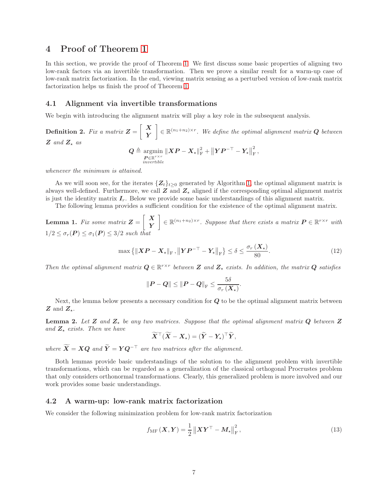### 4 Proof of Theorem [1](#page-4-2)

In this section, we provide the proof of Theorem [1.](#page-4-2) We first discuss some basic properties of aligning two low-rank factors via an invertible transformation. Then we prove a similar result for a warm-up case of low-rank matrix factorization. In the end, viewing matrix sensing as a perturbed version of low-rank matrix factorization helps us finish the proof of Theorem [1.](#page-4-2)

#### 4.1 Alignment via invertible transformations

We begin with introducing the alignment matrix will play a key role in the subsequent analysis.

#### Definition 2. Fix a matrix  $Z =$  $\begin{bmatrix} X \end{bmatrix}$ Y  $\mathcal{L} \in \mathbb{R}^{(n_1+n_2)\times r}$ . We define the optimal alignment matrix **Q** between  $Z$  and  $Z_{\star}$  as  $\boldsymbol{Q} \triangleq \text{argmin}$  $\mathbf{P}_{\in \mathbb{R}}^{r \times r}$  $\begin{split} \left\| \boldsymbol{X} \boldsymbol{P} - \boldsymbol{X}_\star \right\|_{\text{F}}^2 + \left\| \boldsymbol{Y} \boldsymbol{P}^{-\top} - \boldsymbol{Y}_\star \right\|_{\text{F}}^2 \end{split}$  $\frac{2}{\mathrm{F}}$  ,

whenever the minimum is attained.

As we will soon see, for the iterates  $\{Z_t\}_{t\geq 0}$  generated by Algorithm [1,](#page-4-0) the optimal alignment matrix is always well-defined. Furthermore, we call  $Z$  and  $Z_{\star}$  aligned if the corresponding optimal alignment matrix is just the identity matrix  $I_r$ . Below we provide some basic understandings of this alignment matrix.

The following lemma provides a sufficient condition for the existence of the optimal alignment matrix.

<span id="page-6-0"></span>**Lemma 1.** Fix some matrix  $Z =$  $\begin{bmatrix} X \end{bmatrix}$ Y  $\mathcal{L} \in \mathbb{R}^{(n_1+n_2)\times r}$ . Suppose that there exists a matrix  $\mathbf{P} \in \mathbb{R}^{r \times r}$  with  $1/2 \leq \sigma_r(P) \leq \sigma_1(P) \leq 3/2$  such the

<span id="page-6-1"></span>
$$
\max\left\{\|\boldsymbol{XP}-\boldsymbol{X}_{\star}\|_{\mathrm{F}},\left\|\boldsymbol{YP}^{-\top}-\boldsymbol{Y}_{\star}\right\|_{\mathrm{F}}\right\} \leq \delta \leq \frac{\sigma_r\left(\boldsymbol{X}_{\star}\right)}{80}.\tag{12}
$$

Then the optimal alignment matrix  $Q \in \mathbb{R}^{r \times r}$  between Z and  $Z_{\star}$  exists. In addition, the matrix  $Q$  satisfies

$$
\left\| \boldsymbol{P} - \boldsymbol{Q} \right\| \le \left\| \boldsymbol{P} - \boldsymbol{Q} \right\|_{\text{F}} \le \frac{5\delta}{\sigma_r \left( \boldsymbol{X}_{\star} \right)}.
$$

Next, the lemma below presents a necessary condition for  $Q$  to be the optimal alignment matrix between  $Z$  and  $Z_{\star}$ .

<span id="page-6-2"></span>**Lemma 2.** Let Z and  $Z<sub>*</sub>$  be any two matrices. Suppose that the optimal alignment matrix Q between Z and  $Z_{\star}$  exists. Then we have

$$
\widetilde{X}^{\top}(\widetilde{X}-X_{\star})=(\widetilde{Y}-Y_{\star})^{\top}\widetilde{Y},
$$

where  $\widetilde{\mathbf{X}} = \mathbf{XQ}$  and  $\widetilde{\mathbf{Y}} = \mathbf{YQ}^{-\top}$  are two matrices after the alignment.

Both lemmas provide basic understandings of the solution to the alignment problem with invertible transformations, which can be regarded as a generalization of the classical orthogonal Procrustes problem that only considers orthonormal transformations. Clearly, this generalized problem is more involved and our work provides some basic understandings.

#### 4.2 A warm-up: low-rank matrix factorization

We consider the following minimization problem for low-rank matrix factorization

$$
f_{\rm MF}(\boldsymbol{X}, \boldsymbol{Y}) = \frac{1}{2} \left\| \boldsymbol{X} \boldsymbol{Y}^{\top} - \boldsymbol{M}_{\star} \right\|_{\rm F}^{2},\tag{13}
$$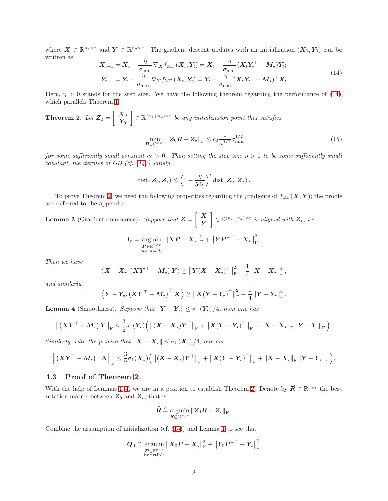where  $\mathbf{X} \in \mathbb{R}^{n_1 \times r}$  and  $\mathbf{Y} \in \mathbb{R}^{n_2 \times r}$ . The gradient descent updates with an initialization  $(\mathbf{X}_0, \mathbf{Y}_0)$  can be written as

<span id="page-7-0"></span>
$$
\mathbf{X}_{t+1} = \mathbf{X}_t - \frac{\eta}{\sigma_{\text{max}}} \nabla_{\mathbf{X}} f_{\text{MF}}\left(\mathbf{X}_t, \mathbf{Y}_t\right) = \mathbf{X}_t - \frac{\eta}{\sigma_{\text{max}}} (\mathbf{X}_t \mathbf{Y}_t^\top - \mathbf{M}_\star) \mathbf{Y}_t; \n\mathbf{Y}_{t+1} = \mathbf{Y}_t - \frac{\eta}{\sigma_{\text{max}}} \nabla_{\mathbf{Y}} f_{\text{MF}}\left(\mathbf{X}_t, \mathbf{Y}_t\right) = \mathbf{Y}_t - \frac{\eta}{\sigma_{\text{max}}} (\mathbf{X}_t \mathbf{Y}_t^\top - \mathbf{M}_\star)^\top \mathbf{X}_t.
$$
\n(14)

Here,  $\eta > 0$  stands for the step size. We have the following theorem regarding the performance of [\(14\)](#page-7-0), which parallels Theorem [1.](#page-4-2)

<span id="page-7-1"></span>**Theorem 2.** Let 
$$
\mathbf{Z}_0 = \begin{bmatrix} \mathbf{X}_0 \\ \mathbf{Y}_0 \end{bmatrix} \in \mathbb{R}^{(n_1+n_2)\times r}
$$
 be any initialization point that satisfies\n
$$
\min_{\mathbf{R} \in \mathcal{O}^{r \times r}} \|\mathbf{Z}_0 \mathbf{R} - \mathbf{Z}_\star\|_{\mathrm{F}} \leq c_0 \frac{1}{\kappa^{3/2}} \sigma_{\min}^{1/2}
$$
\n(15)

for some sufficiently small constant  $c_0 > 0$ . Then setting the step size  $\eta > 0$  to be some sufficiently small constant, the iterates of GD (cf.  $(14)$ ) satisfy

<span id="page-7-3"></span>
$$
\operatorname{dist}(\boldsymbol{Z}_t, \boldsymbol{Z}_\star) \leq \left(1 - \frac{\eta}{50\kappa}\right)^t \operatorname{dist}(\boldsymbol{Z}_0, \boldsymbol{Z}_\star).
$$

To prove Theorem [2,](#page-7-1) we need the following properties regarding the gradients of  $f_{\text{MF}}(\boldsymbol{X}, \boldsymbol{Y})$ ; the proofs are deferred to the appendix.

<span id="page-7-4"></span>**Lemma 3** (Gradient dominance). Suppose that  $\mathbf{Z} =$  $\begin{bmatrix} X \end{bmatrix}$ Y  $\left[ \begin{array}{c} \in \mathbb{R}^{(n_1+n_2)\times r} \text{ is aligned with } \mathbf{Z}_{\star}, \text{ i.e.} \end{array} \right]$ 

$$
\boldsymbol{I}_{r} = \operatornamewithlimits{argmin}_{\boldsymbol{P} \in \mathbb{R}^{r \times r} \atop invertible} \left\| \boldsymbol{X} \boldsymbol{P} - \boldsymbol{X}_{\star} \right\|_{\text{F}}^2 + \left\| \boldsymbol{Y} \boldsymbol{P}^{-\top} - \boldsymbol{X}_{\star} \right\|_{\text{F}}^2.
$$

Then we have

$$
\left\langle \boldsymbol{X}-\boldsymbol{X}_\star, \left(\boldsymbol{X}\boldsymbol{Y}^\top-\boldsymbol{M}_\star\right)\boldsymbol{Y}\right\rangle \geq \left\|\boldsymbol{Y}(\boldsymbol{X}-\boldsymbol{X}_\star)^\top\right\|_{\mathrm{F}}^2 - \frac{1}{4}\left\|\boldsymbol{X}-\boldsymbol{X}_\star\right\|_{\mathrm{F}}^4,
$$

and similarly,

$$
\left\langle \boldsymbol{Y} - \boldsymbol{Y}_\star, \left( \boldsymbol{X} \boldsymbol{Y}^\top - \boldsymbol{M}_\star \right)^\top \boldsymbol{X} \right\rangle \geq \left\| \boldsymbol{X} (\boldsymbol{Y} - \boldsymbol{Y}_\star)^\top \right\|_{\mathrm{F}}^2 - \frac{1}{4} \left\| \boldsymbol{Y} - \boldsymbol{Y}_\star \right\|_{\mathrm{F}}^4
$$

.

<span id="page-7-2"></span>**Lemma 4** (Smoothness). Suppose that  $||Y - Y_*|| \leq \sigma_1(Y_*)/4$ , then one has

$$
\left\|\left(XY^\top - M_{\star}\right)Y\right\|_{\mathrm{F}} \leq \frac{3}{2}\sigma_1(Y_{\star})\Big(\left\|\left(X - X_{\star}\right)Y^\top\right\|_{\mathrm{F}} + \left\|X(Y - Y_{\star})^\top\right\|_{\mathrm{F}} + \left\|X - X_{\star}\right\|_{\mathrm{F}}\left\|Y - Y_{\star}\right\|_{\mathrm{F}}\Big).
$$

Similarly, with the proviso that  $\|X - X_{\star}\| \leq \sigma_1 (X_{\star})/4$ , one has

$$
\left\| \left( \boldsymbol X \boldsymbol Y^\top - \boldsymbol M_{\star} \right)^\top \boldsymbol X \right\|_{\rm F} \leq \frac{3}{2} \sigma_1(\boldsymbol X_{\star}) \Big( \left\| (\boldsymbol X - \boldsymbol X_{\star}) \boldsymbol Y^\top \right\|_{\rm F} + \left\| \boldsymbol X (\boldsymbol Y - \boldsymbol Y_{\star})^\top \right\|_{\rm F} + \left\| \boldsymbol X - \boldsymbol X_{\star} \right\|_{\rm F} \left\| \boldsymbol Y - \boldsymbol Y_{\star} \right\|_{\rm F} \Big).
$$

### <span id="page-7-5"></span>4.3 Proof of Theorem [2](#page-7-1)

With the help of Lemmas [1](#page-6-0)[–4,](#page-7-2) we are in a position to establish Theorem [2.](#page-7-1) Denote by  $\hat{R} \in \mathbb{R}^{r \times r}$  the best rotation matrix between  $Z_0$  and  $Z_{\star}$ , that is

$$
\widehat{\boldsymbol{R}}\triangleq\operatornamewithlimits{argmin}_{\boldsymbol{R}\in\mathcal{O}^{r\times r}}\left\|\boldsymbol{Z}_{0}\boldsymbol{R}-\boldsymbol{Z}_{\star}\right\|_{\text{F}}.
$$

Combine the assumption of initialization (cf. [\(15\)](#page-7-3)) and Lemma [1](#page-6-0) to see that

$$
\boldsymbol{Q}_{0} \triangleq \operatorname*{argmin}_{\begin{subarray}{c} \boldsymbol{P} \in \mathbb{R}^{r \times r} \\ \text{invertible} \end{subarray}} \left\| \boldsymbol{X}_{0} \boldsymbol{P} - \boldsymbol{X}_{\star} \right\|_{\text{F}}^{2} + \left\| \boldsymbol{Y}_{0} \boldsymbol{P}^{-\top} - \boldsymbol{Y}_{\star} \right\|_{\text{F}}^{2}
$$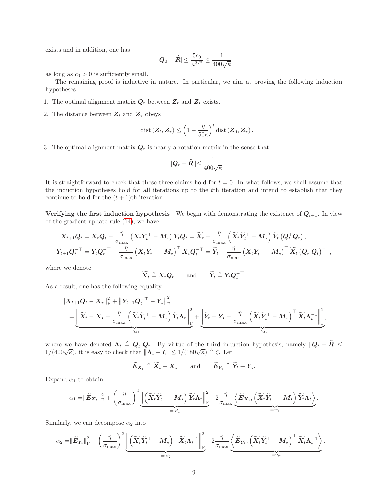exists and in addition, one has

$$
\|\mathbf{Q}_0 - \widehat{\mathbf{R}}\| \le \frac{5c_0}{\kappa^{3/2}} \le \frac{1}{400\sqrt{\kappa}}
$$

as long as  $c_0 > 0$  is sufficiently small.

The remaining proof is inductive in nature. In particular, we aim at proving the following induction hypotheses.

- 1. The optimal alignment matrix  $Q_t$  between  $Z_t$  and  $Z_{\star}$  exists.
- 2. The distance between  $\mathbf{Z}_t$  and  $\mathbf{Z}_\star$  obeys

$$
\operatorname{dist}(\boldsymbol{Z}_t, \boldsymbol{Z}_\star) \leq \left(1 - \frac{\eta}{50\kappa}\right)^t \operatorname{dist}(\boldsymbol{Z}_0, \boldsymbol{Z}_\star).
$$

3. The optimal alignment matrix  $Q_t$  is nearly a rotation matrix in the sense that

$$
\|\mathbf{Q}_t - \widehat{\mathbf{R}}\| \le \frac{1}{400\sqrt{\kappa}}.
$$

It is straightforward to check that these three claims hold for  $t = 0$ . In what follows, we shall assume that the induction hypotheses hold for all iterations up to the tth iteration and intend to establish that they continue to hold for the  $(t + 1)$ th iteration.

Verifying the first induction hypothesis We begin with demonstrating the existence of  $Q_{t+1}$ . In view of the gradient update rule [\(14\)](#page-7-0), we have

$$
\begin{aligned} & \boldsymbol{X}_{t+1}\boldsymbol{Q}_t = \boldsymbol{X}_t\boldsymbol{Q}_t - \frac{\eta}{\sigma_{\text{max}}}\left(\boldsymbol{X}_t\boldsymbol{Y}_t^\top - \boldsymbol{M}_\star\right)\boldsymbol{Y}_t\boldsymbol{Q}_t = \widetilde{\boldsymbol{X}}_t - \frac{\eta}{\sigma_{\text{max}}}\left(\widetilde{\boldsymbol{X}}_t\widetilde{\boldsymbol{Y}}_t^\top - \boldsymbol{M}_\star\right)\widetilde{\boldsymbol{Y}}_t\left(\boldsymbol{Q}_t^\top\boldsymbol{Q}_t\right), \\ & \boldsymbol{Y}_{t+1}\boldsymbol{Q}_t^{-\top} = \boldsymbol{Y}_t\boldsymbol{Q}_t^{-\top} - \frac{\eta}{\sigma_{\text{max}}}\left(\boldsymbol{X}_t\boldsymbol{Y}_t^\top - \boldsymbol{M}_\star\right)^\top\boldsymbol{X}_t\boldsymbol{Q}_t^{-\top} = \widetilde{\boldsymbol{Y}}_t - \frac{\eta}{\sigma_{\text{max}}}\left(\boldsymbol{X}_t\boldsymbol{Y}_t^\top - \boldsymbol{M}_\star\right)^\top\widetilde{\boldsymbol{X}}_t\left(\boldsymbol{Q}_t^\top\boldsymbol{Q}_t\right)^{-1}, \end{aligned}
$$

where we denote

$$
\widetilde{X}_t \triangleq X_t Q_t \quad \text{and} \quad \widetilde{Y}_t \triangleq Y_t Q_t^{-\top}.
$$

As a result, one has the following equality

$$
\begin{split} &\left\| \boldsymbol{X}_{t+1} \boldsymbol{Q}_t - \boldsymbol{X}_\star \right\|_{\text{F}}^2 + \left\| \boldsymbol{Y}_{t+1} \boldsymbol{Q}_t^{-\top} - \boldsymbol{Y}_\star \right\|_{\text{F}}^2 \\ & \quad = \underbrace{\left\| \widetilde{\boldsymbol{X}}_t - \boldsymbol{X}_\star - \frac{\eta}{\sigma_{\text{max}}} \left( \widetilde{\boldsymbol{X}}_t \widetilde{\boldsymbol{Y}}_t^\top - \boldsymbol{M}_\star \right) \widetilde{\boldsymbol{Y}}_t \boldsymbol{\Lambda}_t \right\|_{\text{F}}^2}_{=:\alpha_1} + \underbrace{\left\| \widetilde{\boldsymbol{Y}}_t - \boldsymbol{Y}_\star - \frac{\eta}{\sigma_{\text{max}}} \left( \widetilde{\boldsymbol{X}}_t \widetilde{\boldsymbol{Y}}_t^\top - \boldsymbol{M}_\star \right)^\top \widetilde{\boldsymbol{X}}_t \boldsymbol{\Lambda}_t^{-1} \right\|_{\text{F}}^2}_{=:\alpha_2}, \end{split}
$$

where we have denoted  $\Lambda_t \triangleq Q_t^\top Q_t$ . By virtue of the third induction hypothesis, namely  $||Q_t - \hat{R}||$  $1/(400\sqrt{\kappa})$ , it is easy to check that  $||\mathbf{\Lambda}_t - \mathbf{I}_r|| \leq 1/(180\sqrt{\kappa}) \triangleq \zeta$ . Let

$$
\widetilde{E}_{X_t} \triangleq \widetilde{X}_t - X_\star \quad \text{and} \quad \widetilde{E}_{Y_t} \triangleq \widetilde{Y}_t - Y_\star.
$$

Expand $\alpha_1$  to obtain

$$
\alpha_1 = \|\widetilde{\boldsymbol{E}}_{\boldsymbol{X}_t}\|_{\text{F}}^2 + \left(\frac{\eta}{\sigma_{\text{max}}}\right)^2 \underbrace{\left\|\left(\widetilde{\boldsymbol{X}}_t\widetilde{\boldsymbol{Y}}_t^\top - \boldsymbol{M}_\star\right)\widetilde{\boldsymbol{Y}}_t\boldsymbol{\Lambda}_t\right\|_{\text{F}}^2}_{=: \beta_1} - 2\frac{\eta}{\sigma_{\text{max}}} \underbrace{\left\langle \widetilde{\boldsymbol{E}}_{\boldsymbol{X}_t}, \left(\widetilde{\boldsymbol{X}}_t\widetilde{\boldsymbol{Y}}_t^\top - \boldsymbol{M}_\star\right)\widetilde{\boldsymbol{Y}}_t\boldsymbol{\Lambda}_t\right\rangle}_{=: \gamma_1}.
$$

Similarly, we can decompose  $\alpha_2$  into

$$
\alpha_2 = \|\widetilde{\boldsymbol{E}}_{\boldsymbol{Y}_t}\|_{\text{F}}^2 + \left(\frac{\eta}{\sigma_{\max}}\right)^2 \underbrace{\left\|\left(\widetilde{\boldsymbol{X}}_t\widetilde{\boldsymbol{Y}}_t^\top - \boldsymbol{M}_\star\right)^\top \widetilde{\boldsymbol{X}}_t\boldsymbol{\Lambda}_t^{-1}\right\|_{\text{F}}^2}_{=: \beta_2} - 2\frac{\eta}{\sigma_{\max}} \underbrace{\left\langle \widetilde{\boldsymbol{E}}_{\boldsymbol{Y}_t}, \left(\widetilde{\boldsymbol{X}}_t\widetilde{\boldsymbol{Y}}_t^\top - \boldsymbol{M}_\star\right)^\top \widetilde{\boldsymbol{X}}_t\boldsymbol{\Lambda}_t^{-1}\right\rangle}_{=: \gamma_2}.
$$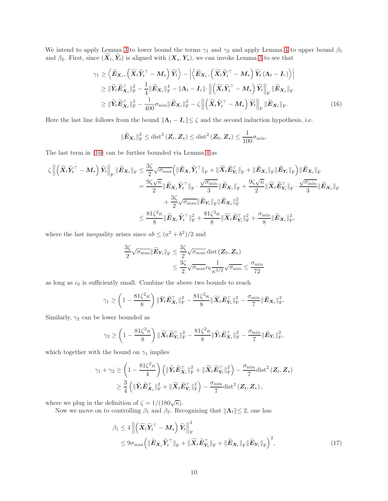We intend to apply Lemma [3](#page-7-4) to lower bound the terms  $\gamma_1$  and  $\gamma_2$  and apply Lemma [4](#page-7-2) to upper bound  $\beta_1$ and  $\beta_2$ . First, since  $(\widetilde{\boldsymbol{X}}_t, \widetilde{\boldsymbol{Y}}_t)$  is aligned with  $(\boldsymbol{X}_\star, \boldsymbol{Y}_\star)$ , we can invoke Lemma [3](#page-7-4) to see that

$$
\gamma_{1} \geq \left\langle \widetilde{\mathbf{E}}_{\mathbf{X}_{t}}, \left( \widetilde{\mathbf{X}}_{t} \widetilde{\mathbf{Y}}_{t}^{\top} - \mathbf{M}_{\star} \right) \widetilde{\mathbf{Y}}_{t} \right\rangle - \left| \left\langle \widetilde{\mathbf{E}}_{\mathbf{X}_{t}}, \left( \widetilde{\mathbf{X}}_{t} \widetilde{\mathbf{Y}}_{t}^{\top} - \mathbf{M}_{\star} \right) \widetilde{\mathbf{Y}}_{t} \left( \mathbf{\Lambda}_{t} - \mathbf{I}_{r} \right) \right\rangle \right|
$$
\n
$$
\geq \|\widetilde{\mathbf{Y}}_{t} \widetilde{\mathbf{E}}_{\mathbf{X}}^{\top}\|_{\mathrm{F}}^{2} - \frac{1}{4} \|\widetilde{\mathbf{E}}_{\mathbf{X}_{t}}\|_{\mathrm{F}}^{4} - \|\mathbf{\Lambda}_{t} - \mathbf{I}_{r}\| \cdot \left\| \left( \widetilde{\mathbf{X}}_{t} \widetilde{\mathbf{Y}}_{t}^{\top} - \mathbf{M}_{\star} \right) \widetilde{\mathbf{Y}}_{t} \right\|_{\mathrm{F}} \|\widetilde{\mathbf{E}}_{\mathbf{X}_{t}}\|_{\mathrm{F}}^{2}
$$
\n
$$
\geq \|\widetilde{\mathbf{Y}}_{t} \widetilde{\mathbf{E}}_{\mathbf{X}_{t}}^{\top}\|_{\mathrm{F}}^{2} - \frac{1}{400} \sigma_{\min} \|\widetilde{\mathbf{E}}_{\mathbf{X}_{t}}\|_{\mathrm{F}}^{2} - \zeta \left\| \left( \widetilde{\mathbf{X}}_{t} \widetilde{\mathbf{Y}}_{t}^{\top} - \mathbf{M}_{\star} \right) \widetilde{\mathbf{Y}}_{t} \right\|_{\mathrm{F}} \|\widetilde{\mathbf{E}}_{\mathbf{X}_{t}}\|_{\mathrm{F}}.
$$
\n(16)

Here the last line follows from the bound  $\|\mathbf{\Lambda}_t - \mathbf{I}_r\| \leq \zeta$  and the second induction hypothesis, i.e.

<span id="page-9-0"></span>
$$
\|\widetilde{\boldsymbol{E}}_{\boldsymbol{X}_t}\|_{\mathrm{F}}^2 \leq \mathrm{dist}^2\left(\boldsymbol{Z}_t, \boldsymbol{Z}_\star\right) \leq \mathrm{dist}^2\left(\boldsymbol{Z}_0, \boldsymbol{Z}_\star\right) \leq \frac{1}{100} \sigma_{\min}.
$$

The last term in [\(16\)](#page-9-0) can be further bounded via Lemma [4](#page-7-2) as

$$
\begin{aligned} \zeta \left\| \left( \widetilde{\boldsymbol{X}}_{t} \widetilde{\boldsymbol{Y}}_{t}^{\top} - \boldsymbol{M}_{\star} \right) \widetilde{\boldsymbol{Y}}_{t} \right\|_{\mathrm{F}} & \|\widetilde{\boldsymbol{E}}_{\boldsymbol{X}_{t}} \|_{\mathrm{F}} \leq \frac{3\zeta}{2} \sqrt{\sigma_{\max}} \Big( \|\widetilde{\boldsymbol{E}}_{\boldsymbol{X}_{t}} \widetilde{\boldsymbol{Y}}_{t}^{\top} \|_{\mathrm{F}} + \|\widetilde{\boldsymbol{X}}_{t} \widetilde{\boldsymbol{E}}_{\boldsymbol{Y}_{t}}^{\top} \|_{\mathrm{F}} + \|\widetilde{\boldsymbol{E}}_{\boldsymbol{X}_{t}} \|_{\mathrm{F}} \Big) \|\widetilde{\boldsymbol{E}}_{\boldsymbol{X}_{t}} \|_{\mathrm{F}} \\ & = \frac{9\zeta \sqrt{\kappa}}{2} \|\widetilde{\boldsymbol{E}}_{\boldsymbol{X}_{t}} \widetilde{\boldsymbol{Y}}_{t}^{\top} \|_{\mathrm{F}} \cdot \frac{\sqrt{\sigma_{\min}}}{3} \|\widetilde{\boldsymbol{E}}_{\boldsymbol{X}_{t}} \|_{\mathrm{F}} + \frac{9\zeta \sqrt{\kappa}}{2} \|\widetilde{\boldsymbol{X}}_{t} \widetilde{\boldsymbol{E}}_{\boldsymbol{Y}_{t}} \|_{\mathrm{F}} \cdot \frac{\sqrt{\sigma_{\min}}}{3} \|\widetilde{\boldsymbol{E}}_{\boldsymbol{X}_{t}} \|_{\mathrm{F}} \\ & + \frac{3\zeta}{2} \sqrt{\sigma_{\max}} \|\widetilde{\boldsymbol{E}}_{\boldsymbol{Y}_{t}} \|_{\mathrm{F}} \|\widetilde{\boldsymbol{E}}_{\boldsymbol{X}_{t}} \|_{\mathrm{F}}^{2} \\ &\leq \frac{81\zeta^{2} \kappa}{8} \|\widetilde{\boldsymbol{E}}_{\boldsymbol{X}_{t}} \widetilde{\boldsymbol{Y}}_{t}^{\top} \|_{\mathrm{F}}^{2} + \frac{81\zeta^{2} \kappa}{8} \|\widetilde{\boldsymbol{X}}_{t} \widetilde{\boldsymbol{E}}_{\boldsymbol{Y}_{t}} \|_{\mathrm{F}}^{2} + \frac{\sigma_{\min}}{8} \|\widetilde{\boldsymbol{E}}_{\boldsymbol{X}_{t}} \|_{\mathrm{F}}^{2}, \end{aligned}
$$

where the last inequality arises since  $ab \leq (a^2 + b^2)/2$  and

$$
\frac{3\zeta}{2}\sqrt{\sigma_{\max}}\|\widetilde{\mathbf{E}}_{\mathbf{Y}_t}\|_{\mathrm{F}} \le \frac{3\zeta}{2}\sqrt{\sigma_{\max}}\operatorname{dist}\left(\mathbf{Z}_0, \mathbf{Z}_{\star}\right)
$$

$$
\le \frac{3\zeta}{2}\sqrt{\sigma_{\max}}c_0\frac{1}{\kappa^{3/2}}\sqrt{\sigma_{\min}} \le \frac{\sigma_{\min}}{72}
$$

as long as  $c_0$  is sufficiently small. Combine the above two bounds to reach

$$
\gamma_1 \geq \left(1 - \frac{81\zeta^2 \kappa}{8}\right) \|\widetilde{\boldsymbol{Y}}_t \widetilde{\boldsymbol{E}}_{\boldsymbol{X}_t}^\top\|_{\text{F}}^2 - \frac{81\zeta^2 \kappa}{8} \|\widetilde{\boldsymbol{X}}_t \widetilde{\boldsymbol{E}}_{\boldsymbol{Y}_t}^\top\|_{\text{F}}^2 - \frac{\sigma_{\min}}{7} \|\widetilde{\boldsymbol{E}}_{\boldsymbol{X}_t}\|_{\text{F}}^2.
$$

Similarly,  $\gamma_2$  can be lower bounded as

$$
\gamma_2 \geq \left(1 - \frac{81\zeta^2 \kappa}{8}\right) \|\widetilde{\boldsymbol{X}}_t \widetilde{\boldsymbol{E}}_{\boldsymbol{Y}_t}^\top\|_{\text{F}}^2 - \frac{81\zeta^2 \kappa}{8} \|\widetilde{\boldsymbol{Y}}_t \widetilde{\boldsymbol{E}}_{\boldsymbol{X}_t}^\top\|_{\text{F}}^2 - \frac{\sigma_{\min}}{7} \|\widetilde{\boldsymbol{E}}_{\boldsymbol{Y}_t}\|_{\text{F}}^2,
$$

which together with the bound on  $\gamma_1$  implies

$$
\gamma_1 + \gamma_2 \ge \left(1 - \frac{81\zeta^2 \kappa}{4}\right) \left( \|\widetilde{Y}_t \widetilde{E}_{X_t}^\top\|_{\mathrm{F}}^2 + \|\widetilde{X}_t \widetilde{E}_{Y_t}^\top\|_{\mathrm{F}}^2 \right) - \frac{\sigma_{\min}}{7} \mathrm{dist}^2 \left( \mathbf{Z}_t, \mathbf{Z}_\star \right)
$$
  

$$
\ge \frac{3}{4} \left( \|\widetilde{Y}_t \widetilde{E}_{X_t}^\top\|_{\mathrm{F}}^2 + \|\widetilde{X}_t \widetilde{E}_{Y_t}^\top\|_{\mathrm{F}}^2 \right) - \frac{\sigma_{\min}}{7} \mathrm{dist}^2 \left( \mathbf{Z}_t, \mathbf{Z}_\star \right),
$$

where we plug in the definition of  $\zeta = 1/(180\sqrt{\kappa})$ .

Now we move on to controlling  $\beta_1$  and  $\beta_2$ . Recognizing that  $||\mathbf{\Lambda}_t|| \leq 2$ , one has

<span id="page-9-1"></span>
$$
\beta_1 \le 4 \left\| \left( \widetilde{\mathbf{X}}_t \widetilde{\mathbf{Y}}_t^\top - \mathbf{M}_\star \right) \widetilde{\mathbf{Y}}_t \right\|_{\mathrm{F}}^2
$$
\n
$$
\le 9 \sigma_{\max} \left( \|\widetilde{\mathbf{E}}_{\mathbf{X}_t} \widetilde{\mathbf{Y}}_t^\top \|_{\mathrm{F}} + \|\widetilde{\mathbf{X}}_t \widetilde{\mathbf{E}}_{\mathbf{Y}_t}^\top \|_{\mathrm{F}} + \|\widetilde{\mathbf{E}}_{\mathbf{X}_t} \|_{\mathrm{F}} \|\widetilde{\mathbf{E}}_{\mathbf{Y}_t} \|_{\mathrm{F}} \right)^2, \tag{17}
$$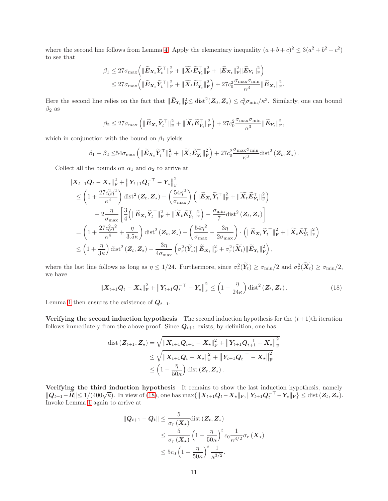where the second line follows from Lemma [4.](#page-7-2) Apply the elementary inequality  $(a+b+c)^2 \leq 3(a^2+b^2+c^2)$ to see that

$$
\beta_1 \leq 27 \sigma_{\max} \Big( \|\widetilde{\boldsymbol{E}}_{\boldsymbol{X}_t} \widetilde{\boldsymbol{Y}}_t^\top\|_{\text{F}}^2 + \|\widetilde{\boldsymbol{X}}_t \widetilde{\boldsymbol{E}}_{\boldsymbol{Y}_t}^\top\|_{\text{F}}^2 + \|\widetilde{\boldsymbol{E}}_{\boldsymbol{X}_t}\|_{\text{F}}^2 \|\widetilde{\boldsymbol{E}}_{\boldsymbol{Y}_t}\|_{\text{F}}^2 \Big) \leq 27 \sigma_{\max} \Big( \|\widetilde{\boldsymbol{E}}_{\boldsymbol{X}_t} \widetilde{\boldsymbol{Y}}_t^\top\|_{\text{F}}^2 + \|\widetilde{\boldsymbol{X}}_t \widetilde{\boldsymbol{E}}_{\boldsymbol{Y}_t}^\top\|_{\text{F}}^2 \Big) + 27 c_0^2 \frac{\sigma_{\max} \sigma_{\min}}{\kappa^3} \|\widetilde{\boldsymbol{E}}_{\boldsymbol{X}_t}\|_{\text{F}}^2.
$$

Here the second line relies on the fact that  $\|\widetilde{E}_{Y_t}\|_{\mathrm{F}}^2 \leq \text{dist}^2(\mathbf{Z}_0, \mathbf{Z}_{\star}) \leq c_0^2 \sigma_{\min}/\kappa^3$ . Similarly, one can bound  $\beta_2$  as

$$
\beta_2 \leq 27 \sigma_{\max} \left( \|\widetilde{\pmb{E}}_{\pmb{X}_t} \widetilde{\pmb{Y}}_t^\top\|_{\text{F}}^2 + \|\widetilde{\pmb{X}}_t \widetilde{\pmb{E}}_{\pmb{Y}_t}^\top\|_{\text{F}}^2 \right) + 27 c_0^2 \frac{\sigma_{\max} \sigma_{\min}}{\kappa^3} \|\widetilde{\pmb{E}}_{\pmb{Y}_t}\|_{\text{F}}^2,
$$

which in conjunction with the bound on  $\beta_1$  yields

$$
\beta_1 + \beta_2 \leq 54 \sigma_{\max} \left( \|\widetilde{\boldsymbol{E}}_{\boldsymbol{X}_t} \widetilde{\boldsymbol{Y}}_t^\top\|_{\mathrm{F}}^2 + \|\widetilde{\boldsymbol{X}}_t \widetilde{\boldsymbol{E}}_{\boldsymbol{Y}_t}^\top\|_{\mathrm{F}}^2 \right) + 27c_0^2 \frac{\sigma_{\max} \sigma_{\min}}{\kappa^3} \mathrm{dist}^2(\boldsymbol{Z}_t, \boldsymbol{Z}_\star).
$$

Collect all the bounds on  $\alpha_1$  and  $\alpha_2$  to arrive at

$$
\begin{split}\n&\|X_{t+1}\mathbf{Q}_{t}-\mathbf{X}_{\star}\|_{\mathrm{F}}^{2}+\left\|\mathbf{Y}_{t+1}\mathbf{Q}_{t}^{-\top}-\mathbf{Y}_{\star}\right\|_{\mathrm{F}}^{2} \\
&\leq \left(1+\frac{27c_{0}^{2}\eta^{2}}{\kappa^{4}}\right)\mathrm{dist}^{2}\left(\mathbf{Z}_{t},\mathbf{Z}_{\star}\right)+\left(\frac{54\eta^{2}}{\sigma_{\max}}\right)\left(\|\widetilde{\mathbf{E}}_{\mathbf{X}_{t}}\widetilde{\mathbf{Y}}_{t}^{\top}\|_{\mathrm{F}}^{2}+\|\widetilde{\mathbf{X}}_{t}\widetilde{\mathbf{E}}_{\mathbf{Y}_{t}}\|_{\mathrm{F}}^{2}\right) \\
&-2\frac{\eta}{\sigma_{\max}}\left[\frac{3}{4}\left(\|\widetilde{\mathbf{E}}_{\mathbf{X}_{t}}\widetilde{\mathbf{Y}}_{t}^{\top}\|_{\mathrm{F}}^{2}+\|\widetilde{\mathbf{X}}_{t}\widetilde{\mathbf{E}}_{\mathbf{Y}_{t}}\|_{\mathrm{F}}^{2}\right)-\frac{\sigma_{\min}}{7}\mathrm{dist}^{2}\left(\mathbf{Z}_{t},\mathbf{Z}_{\star}\right)\right] \\
&=\left(1+\frac{27c_{0}^{2}\eta^{2}}{\kappa^{4}}+\frac{\eta}{3.5\kappa}\right)\mathrm{dist}^{2}\left(\mathbf{Z}_{t},\mathbf{Z}_{\star}\right)+\left(\frac{54\eta^{2}}{\sigma_{\max}}-\frac{3\eta}{2\sigma_{\max}}\right)\cdot\left(\|\widetilde{\mathbf{E}}_{\mathbf{X}_{t}}\widetilde{\mathbf{Y}}_{t}^{\top}\|_{\mathrm{F}}^{2}+\|\widetilde{\mathbf{X}}_{t}\widetilde{\mathbf{E}}_{\mathbf{Y}_{t}}\|_{\mathrm{F}}^{2}\right) \\
&\leq\left(1+\frac{\eta}{3\kappa}\right)\mathrm{dist}^{2}\left(\mathbf{Z}_{t},\mathbf{Z}_{\star}\right)-\frac{3\eta}{4\sigma_{\max}}\left(\sigma_{r}^{2}(\widetilde{\mathbf{Y}}_{t})\|\widetilde{\mathbf{E}}_{\mathbf{X}_{t}}\|_{\mathrm{F}}^{2}+\sigma_{r}^{2}(\widetilde{\mathbf{X}}_{t})\|\widetilde{\
$$

where the last line follows as long as  $\eta \leq 1/24$ . Furthermore, since  $\sigma_r^2(\tilde{Y}_t) \geq \sigma_{\min}/2$  and  $\sigma_r^2(\tilde{X}_t) \geq \sigma_{\min}/2$ , we have

$$
\|\boldsymbol{X}_{t+1}\boldsymbol{Q}_t-\boldsymbol{X}_\star\|_{\mathrm{F}}^2+\|\boldsymbol{Y}_{t+1}\boldsymbol{Q}_t^{-\top}-\boldsymbol{Y}_\star\|_{\mathrm{F}}^2\leq \left(1-\frac{\eta}{24\kappa}\right)\mathrm{dist}^2\left(\boldsymbol{Z}_t,\boldsymbol{Z}_\star\right). \tag{18}
$$

Lemma [1](#page-6-0) then ensures the existence of  $Q_{t+1}$ .

Verifying the second induction hypothesis The second induction hypothesis for the  $(t+1)$ th iteration follows immediately from the above proof. Since  $Q_{t+1}$  exists, by definition, one has

<span id="page-10-0"></span>
$$
\begin{aligned} \text{dist}\left(\mathbf{Z}_{t+1}, \mathbf{Z}_{\star}\right) &= \sqrt{\|\mathbf{X}_{t+1}\mathbf{Q}_{t+1} - \mathbf{X}_{\star}\|_{\text{F}}^2 + \left\|\mathbf{Y}_{t+1}\mathbf{Q}_{t+1}^{-\top} - \mathbf{X}_{\star}\right\|_{\text{F}}^2} \\ &\leq \sqrt{\|\mathbf{X}_{t+1}\mathbf{Q}_{t} - \mathbf{X}_{\star}\|_{\text{F}}^2 + \left\|\mathbf{Y}_{t+1}\mathbf{Q}_{t}^{-\top} - \mathbf{X}_{\star}\right\|_{\text{F}}^2} \\ &\leq \left(1 - \frac{\eta}{50\kappa}\right) \text{dist}\left(\mathbf{Z}_{t}, \mathbf{Z}_{\star}\right). \end{aligned}
$$

Verifying the third induction hypothesis It remains to show the last induction hypothesis, namely  $||\mathbf{Q}_{t+1}-\mathbf{R}|| \leq 1/(400\sqrt{\kappa})$ . In view of [\(18\)](#page-10-0), one has  $\max\{||\mathbf{X}_{t+1}\mathbf{Q}_t-\mathbf{X}_{\star}||_F, ||\mathbf{Y}_{t+1}\mathbf{Q}_t^{-\top}-\mathbf{Y}_{\star}||_F\} \leq \text{dist}(\mathbf{Z}_t, \mathbf{Z}_{\star}).$ Invoke Lemma [1](#page-6-0) again to arrive at

$$
\begin{aligned} \|Q_{t+1} - Q_t\| &\leq \frac{5}{\sigma_r(X_\star)} \text{dist}\left(Z_t, Z_\star\right) \\ &\leq \frac{5}{\sigma_r(X_\star)} \left(1 - \frac{\eta}{50\kappa}\right)^t c_0 \frac{1}{\kappa^{3/2}} \sigma_r(X_\star) \\ &\leq 5c_0 \left(1 - \frac{\eta}{50\kappa}\right)^t \frac{1}{\kappa^{3/2}}. \end{aligned}
$$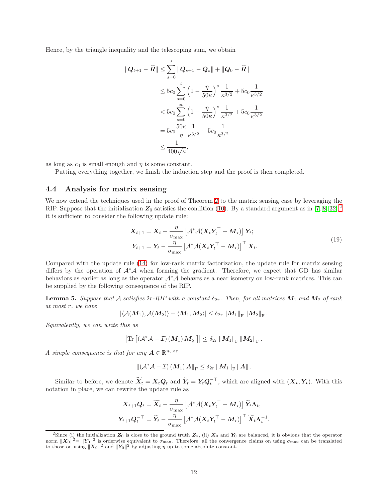Hence, by the triangle inequality and the telescoping sum, we obtain

$$
\begin{aligned}\n\|Q_{t+1} - \widehat{R}\| &\leq \sum_{s=0}^t \|Q_{s+1} - Q_s\| + \|Q_0 - \widehat{R}\| \\
&\leq 5c_0 \sum_{s=0}^t \left(1 - \frac{\eta}{50\kappa}\right)^s \frac{1}{\kappa^{3/2}} + 5c_0 \frac{1}{\kappa^{3/2}} \\
&< 5c_0 \sum_{s=0}^\infty \left(1 - \frac{\eta}{50\kappa}\right)^s \frac{1}{\kappa^{3/2}} + 5c_0 \frac{1}{\kappa^{3/2}} \\
&= 5c_0 \frac{50\kappa}{\eta} \frac{1}{\kappa^{3/2}} + 5c_0 \frac{1}{\kappa^{3/2}} \\
&\leq \frac{1}{400\sqrt{\kappa}},\n\end{aligned}
$$

as long as  $c_0$  is small enough and  $\eta$  is some constant.

Putting everything together, we finish the induction step and the proof is then completed.

#### 4.4 Analysis for matrix sensing

We now extend the techniques used in the proof of Theorem [2](#page-7-1) to the matrix sensing case by leveraging the RIP. Suppose that the initialization  $Z_0$  satisfies the condition [\(10\)](#page-4-3). By a standard argument as in [\[7,](#page-16-5) [8,](#page-16-6) [32\]](#page-17-10),<sup>[2](#page-11-0)</sup> it is sufficient to consider the following update rule:

$$
\mathbf{X}_{t+1} = \mathbf{X}_t - \frac{\eta}{\sigma_{\text{max}}} \left[ \mathcal{A}^* \mathcal{A} (\mathbf{X}_t \mathbf{Y}_t^\top - \mathbf{M}_\star) \right] \mathbf{Y}_t; \n\mathbf{Y}_{t+1} = \mathbf{Y}_t - \frac{\eta}{\sigma_{\text{max}}} \left[ \mathcal{A}^* \mathcal{A} (\mathbf{X}_t \mathbf{Y}_t^\top - \mathbf{M}_\star) \right]^\top \mathbf{X}_t.
$$
\n(19)

.

Compared with the update rule [\(14\)](#page-7-0) for low-rank matrix factorization, the update rule for matrix sensing differs by the operation of <sup>A</sup><sup>∗</sup><sup>A</sup> when forming the gradient. Therefore, we expect that GD has similar behaviors as earlier as long as the operator  $A^*A$  behaves as a near isometry on low-rank matrices. This can be supplied by the following consequence of the RIP.

<span id="page-11-1"></span>**Lemma 5.** Suppose that A satisfies  $2r$ -RIP with a constant  $\delta_{2r}$ . Then, for all matrices  $M_1$  and  $M_2$  of rank at most r, we have

$$
\left|\left\langle \mathcal{A}(M_1),\mathcal{A}(M_2)\right\rangle-\left\langle M_1,M_2\right\rangle\right|\leq \delta_{2r}\left\|M_1\right\|_{\rm F}\left\|M_2\right\|_{\rm F}.
$$

Equivalently, we can write this as

$$
\left|\text{Tr}\left[\left(\mathcal{A}^*\mathcal{A}-\mathcal{I}\right)\left(M_1\right)M_2^{\top}\right]\right|\leq \delta_{2r}\left\|M_1\right\|_{\text{F}}\left\|M_2\right\|_{\text{F}}.
$$

A simple consequence is that for any  $A \in \mathbb{R}^{n_2 \times r}$ 

$$
\left\|\left(\mathcal{A}^*\mathcal{A}-\mathcal{I}\right)\left(M_1\right)A\right\|_{\mathrm{F}}\leq \delta_{2r}\left\|M_1\right\|_{\mathrm{F}}\left\|A\right\|.
$$

Similar to before, we denote  $\widetilde{\mathbf{X}}_t = \mathbf{X}_t \mathbf{Q}_t$  and  $\widetilde{\mathbf{Y}}_t = \mathbf{Y}_t \mathbf{Q}_t^{-\top}$ , which are aligned with  $(\mathbf{X}_\star, \mathbf{Y}_\star)$ . With this notation in place, we can rewrite the update rule as

$$
\begin{aligned} \boldsymbol{X}_{t+1}\boldsymbol{Q}_t &= \widetilde{\boldsymbol{X}}_t - \frac{\eta}{\sigma_{\text{max}}}\left[\mathcal{A}^*\mathcal{A}(\boldsymbol{X}_t\boldsymbol{Y}_t^\top - \boldsymbol{M}_\star)\right]\widetilde{\boldsymbol{Y}}_t\boldsymbol{\Lambda}_t, \\ \boldsymbol{Y}_{t+1}\boldsymbol{Q}_t^{-\top} &= \widetilde{\boldsymbol{Y}}_t - \frac{\eta}{\sigma_{\text{max}}}\left[\mathcal{A}^*\mathcal{A}(\boldsymbol{X}_t\boldsymbol{Y}_t^\top - \boldsymbol{M}_\star)\right]^\top\widetilde{\boldsymbol{X}}_t\boldsymbol{\Lambda}_t^{-1} \end{aligned}
$$

<span id="page-11-0"></span><sup>&</sup>lt;sup>2</sup>Since (i) the initialization  $Z_0$  is close to the ground truth  $Z_{\star}$ , (ii)  $X_0$  and  $Y_0$  are balanced, it is obvious that the operator norm  $||\boldsymbol{X}_0||^2 = ||\boldsymbol{Y}_0||^2$  is orderwise equivalent to  $\sigma_{\text{max}}$ . Therefore, all the convergence claims on using  $\sigma_{\text{max}}$  can be translated to those on using  $\|\mathbf{x}_0\|^2$  and  $\|\mathbf{Y}_0\|^2$  by adjusting  $\eta$  up to some absolute constant.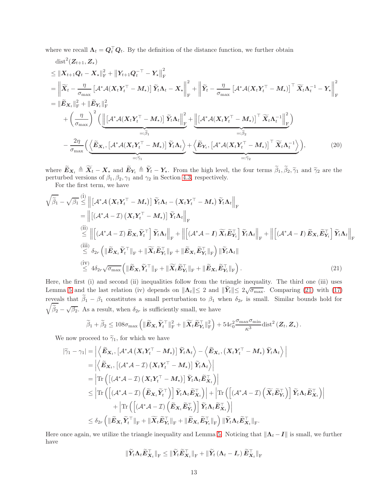where we recall  $\Lambda_t = Q_t^\top Q_t$ . By the definition of the distance function, we further obtain

dist<sup>2</sup>(
$$
\mathbf{Z}_{t+1}, \mathbf{Z}_{\star}
$$
)  
\n
$$
\leq ||\mathbf{X}_{t+1}\mathbf{Q}_{t} - \mathbf{X}_{\star}||_{\mathrm{F}}^{2} + ||\mathbf{Y}_{t+1}\mathbf{Q}_{t}^{-\top} - \mathbf{Y}_{\star}||_{\mathrm{F}}^{2}
$$
\n
$$
= \left\| \widetilde{\mathbf{X}}_{t} - \frac{\eta}{\sigma_{\max}} \left[ \mathbf{A}^{*} \mathbf{A} (\mathbf{X}_{t} \mathbf{Y}_{t}^{\top} - \mathbf{M}_{\star}) \right] \widetilde{\mathbf{Y}}_{t} \mathbf{\Lambda}_{t} - \mathbf{X}_{\star} \right\|_{\mathrm{F}}^{2} + \left\| \widetilde{\mathbf{Y}}_{t} - \frac{\eta}{\sigma_{\max}} \left[ \mathbf{A}^{*} \mathbf{A} (\mathbf{X}_{t} \mathbf{Y}_{t}^{\top} - \mathbf{M}_{\star}) \right]^{\top} \widetilde{\mathbf{X}}_{t} \mathbf{\Lambda}_{t}^{-1} - \mathbf{Y}_{\star} \right\|_{\mathrm{F}}^{2}
$$
\n
$$
+ \left( \frac{\eta}{\sigma_{\max}} \right)^{2} \left( \underbrace{\left\| \left[ \mathbf{A}^{*} \mathbf{A} (\mathbf{X}_{t} \mathbf{Y}_{t}^{\top} - \mathbf{M}_{\star}) \right] \widetilde{\mathbf{Y}}_{t} \mathbf{\Lambda}_{t} \right\|_{\mathrm{F}}^{2}}_{=: \widetilde{\beta}_{1}} + \underbrace{\left\| \left[ \mathbf{A}^{*} \mathbf{A} (\mathbf{X}_{t} \mathbf{Y}_{t}^{\top} - \mathbf{M}_{\star}) \right] \widetilde{\mathbf{Y}}_{t} \mathbf{\Lambda}_{t} \right\|_{\mathrm{F}}^{2}}_{=: \widetilde{\beta}_{2}} + \underbrace{\left\| \left[ \mathbf{A}^{*} \mathbf{A} (\mathbf{X}_{t} \mathbf{Y}_{t}^{\top} - \mathbf{M}_{\star}) \right] \widetilde{\mathbf{Y}}_{t} \mathbf{\Lambda}_{t} \right\|_{\mathrm{F}}^{2}}_{=: \widetilde{\beta}_{2}} + \underbrace{\left\| \left[ \mathbf{A}^{*} \mathbf{A} (\mathbf{X
$$

where  $\mathbf{E}_{\mathbf{X}_t} \triangleq \mathbf{X}_t - \mathbf{X}_\star$  and  $\mathbf{E}_{\mathbf{Y}_t} \triangleq \mathbf{Y}_t - \mathbf{Y}_\star$ . From the high level, the four terms  $\beta_1, \beta_2, \widetilde{\gamma}_1$  and  $\widetilde{\gamma}_2$  are the perturbed versions of  $\beta_1, \beta_2, \gamma_1$  and  $\gamma_2$  in Secti

For the first term, we have

$$
\sqrt{\tilde{\beta}_{1}} - \sqrt{\beta_{1}} \leq \left\| \left[ A^{*} \mathcal{A} \left( \mathbf{X}_{t} \mathbf{Y}_{t}^{\top} - \mathbf{M}_{\star} \right) \right] \tilde{\mathbf{Y}}_{t} \mathbf{\Lambda}_{t} - \left( \mathbf{X}_{t} \mathbf{Y}_{t}^{\top} - \mathbf{M}_{\star} \right) \tilde{\mathbf{Y}}_{t} \mathbf{\Lambda}_{t} \right\|_{F} \n= \left\| \left[ \left( A^{*} \mathcal{A} - \mathcal{I} \right) \left( \mathbf{X}_{t} \mathbf{Y}_{t}^{\top} - \mathbf{M}_{\star} \right) \right] \tilde{\mathbf{Y}}_{t} \mathbf{\Lambda}_{t} \right\|_{F} \n\stackrel{\text{(ii)}}{\leq} \left\| \left[ \left( A^{*} \mathcal{A} - \mathcal{I} \right) \tilde{\mathbf{E}}_{\mathbf{X}_{t}} \tilde{\mathbf{Y}}_{t}^{\top} \right] \tilde{\mathbf{Y}}_{t} \mathbf{\Lambda}_{t} \right\|_{F} + \left\| \left[ \left( A^{*} \mathcal{A} - \mathbf{I} \right) \widetilde{\mathbf{X}}_{t} \tilde{\mathbf{E}}_{\mathbf{Y}_{t}}^{\top} \right] \tilde{\mathbf{Y}}_{t} \mathbf{\Lambda}_{t} \right\|_{F} + \left\| \left[ \left( A^{*} \mathcal{A} - \mathbf{I} \right) \widetilde{\mathbf{X}}_{t} \tilde{\mathbf{E}}_{\mathbf{Y}_{t}}^{\top} \right] \tilde{\mathbf{Y}}_{t} \mathbf{\Lambda}_{t} \right\|_{F} \n\stackrel{\text{(iii)}}{\leq} \delta_{2r} \left( \left\| \tilde{\mathbf{E}}_{\mathbf{X}_{t}} \tilde{\mathbf{Y}}_{t}^{\top} \right\|_{F} + \left\| \widetilde{\mathbf{X}}_{t} \tilde{\mathbf{E}}_{\mathbf{Y}_{t}}^{\top} \right\|_{F} + \left\| \widetilde{\mathbf{E}}_{\mathbf{X}_{t}} \tilde{\mathbf{E}}_{\mathbf{Y}_{t}}^{\top} \right\|_{F} \right) \left\| \widetilde{\mathbf{Y}}_{t} \mathbf{\Lambda}_{
$$

Here, the first (i) and second (ii) inequalities follow from the triangle inequality. The third one (iii) uses Lemma [5](#page-11-1) and the last relation (iv) depends on  $||\mathbf{\Lambda}_t|| \leq 2$  and  $||\widetilde{\mathbf{Y}}_t|| \leq 2\sqrt{\sigma_{\max}}$ . Comparing [\(21\)](#page-12-0) with [\(17\)](#page-9-1) reveals that  $\beta_1 - \beta_1$  constitutes a small perturbation to  $\beta_1$  when  $\delta_{2r}$  is small. Similar bounds hold for  $\widetilde{\beta}_2 - \sqrt{\beta_2}$ . As a result, when  $\delta_{2r}$  is sufficiently small, we have

<span id="page-12-0"></span>
$$
\widetilde{\beta}_1 + \widetilde{\beta}_2 \le 108 \sigma_{\max} \left( \| \widetilde{\mathbf{E}}_{\mathbf{X}_t} \widetilde{\mathbf{Y}}_t^\top \|_{\mathrm{F}}^2 + \| \widetilde{\mathbf{X}}_t \widetilde{\mathbf{E}}_{\mathbf{Y}_t}^\top \|_{\mathrm{F}}^2 \right) + 54 c_0^2 \frac{\sigma_{\max} \sigma_{\min}}{\kappa^3} \mathrm{dist}^2 \left( \mathbf{Z}_t, \mathbf{Z}_\star \right).
$$

We now proceed to  $\tilde{\gamma}_1$ , for which we have

$$
\begin{aligned} |\widetilde{\gamma}_1 - \gamma_1| &= \left|\left\langle \widetilde{\boldsymbol{E}}_{\boldsymbol{X}_t},\left[ \mathcal{A}^* \mathcal{A}\left( \boldsymbol{X}_t \boldsymbol{Y}_t^\top - \boldsymbol{M}_\star \right)\right] \widetilde{\boldsymbol{Y}}_t \boldsymbol{\Lambda}_t \right\rangle - \left\langle \widetilde{\boldsymbol{E}}_{\boldsymbol{X}_t},\left( \boldsymbol{X}_t \boldsymbol{Y}_t^\top - \boldsymbol{M}_\star \right) \widetilde{\boldsymbol{Y}}_t \boldsymbol{\Lambda}_t \right\rangle \right| \\ &= \left|\left\langle \widetilde{\boldsymbol{E}}_{\boldsymbol{X}_t},\left[ (\mathcal{A}^* \mathcal{A} - \mathcal{I}) \left( \boldsymbol{X}_t \boldsymbol{Y}_t^\top - \boldsymbol{M}_\star \right) \right] \widetilde{\boldsymbol{Y}}_t \boldsymbol{\Lambda}_t \right\rangle \right| \\ &= \left| \text{Tr} \left(\left[ (\mathcal{A}^* \mathcal{A} - \mathcal{I}) \left( \boldsymbol{X}_t \boldsymbol{Y}_t^\top - \boldsymbol{M}_\star \right) \right] \widetilde{\boldsymbol{Y}}_t \boldsymbol{\Lambda}_t \widetilde{\boldsymbol{E}}_{\boldsymbol{X}_t}^\top \right) \right| \\ &\leq \left| \text{Tr} \left(\left[ (\mathcal{A}^* \mathcal{A} - \mathcal{I}) \left( \widetilde{\boldsymbol{E}}_{\boldsymbol{X}_t} \widetilde{\boldsymbol{Y}}_t^\top \right) \right] \widetilde{\boldsymbol{Y}}_t \boldsymbol{\Lambda}_t \widetilde{\boldsymbol{E}}_{\boldsymbol{X}_t}^\top \right) \right| + \left| \text{Tr} \left( \left[ (\mathcal{A}^* \mathcal{A} - \mathcal{I}) \left( \widetilde{\boldsymbol{X}}_t \widetilde{\boldsymbol{E}}_{\boldsymbol{Y}_t}^\top \right) \right] \widetilde{\boldsymbol{Y}}_t \boldsymbol{\Lambda}_t \widetilde{\boldsymbol{E}}_{\boldsymbol{X}_t}^\top \right) \right| \\ &+ \left| \text{Tr} \left( \left[ (\mathcal{A}^* \mathcal{A} - \mathcal{I}) \left( \widetilde{\boldsymbol{E}}_{\boldsymbol{X}_t} \widetilde{\boldsymbol{E}}_{\boldsymbol{Y}_t}^\top \right)
$$

Here once again, we utilize the triangle inequality and Lemma [5.](#page-11-1) Noticing that  $\|\Lambda_t - I\|$  is small, we further have

$$
\|\widetilde{Y}_t \Lambda_t \widetilde{E}^\top_{X_t}\|_{\text{F}} \leq \|\widetilde{Y}_t \widetilde{E}^\top_{X_t}\|_{\text{F}} + \|\widetilde{Y}_t \left(\Lambda_t - I_r\right) \widetilde{E}^\top_{X_t}\|_{\text{F}}
$$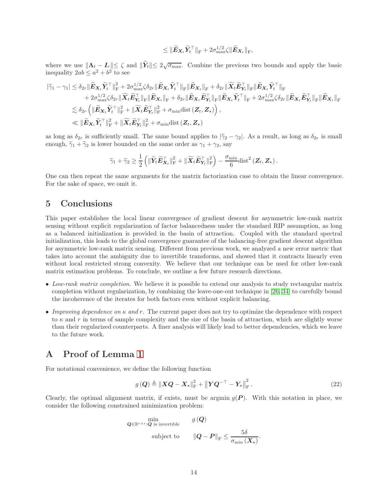$$
\leq \|\widetilde{\boldsymbol{E}}_{\boldsymbol{X}_t}\widetilde{\boldsymbol{Y}}_t^\top\|_{\text{F}} + 2\sigma_{\max}^{1/2}\zeta\|\widetilde{\boldsymbol{E}}_{\boldsymbol{X}_t}\|_{\text{F}},
$$

where we use  $||\mathbf{\Lambda}_t - \mathbf{I}_r|| \leq \zeta$  and  $||\widetilde{\mathbf{Y}}_t|| \leq 2\sqrt{\sigma_{\max}}$ . Combine the previous two bounds and apply the basic inequality  $2ab \le a^2 + b^2$  to see

$$
\begin{aligned}\n|\widetilde{\gamma}_{1}-\gamma_{1}| &\leq \delta_{2r} \|\widetilde{\mathbf{E}}_{\mathbf{X}_{t}} \widetilde{Y}_{t}^{\top}\|_{\mathrm{F}}^{2}+2\sigma_{\max}^{1/2} \zeta \delta_{2r} \|\widetilde{\mathbf{E}}_{\mathbf{X}_{t}} \widetilde{Y}_{t}^{\top}\|_{\mathrm{F}} \|\widetilde{\mathbf{E}}_{\mathbf{X}_{t}}\|_{\mathrm{F}} + \delta_{2r} \|\widetilde{\mathbf{X}}_{t} \widetilde{\mathbf{E}}_{Y_{t}}^{\top}\|_{\mathrm{F}} \|\widetilde{\mathbf{E}}_{\mathbf{X}_{t}} \widetilde{Y}_{t}^{\top}\|_{\mathrm{F}} \\
&\quad +2\sigma_{\max}^{1/2} \zeta \delta_{2r} \|\widetilde{\mathbf{X}}_{t} \widetilde{\mathbf{E}}_{Y_{t}}^{\top}\|_{\mathrm{F}} \|\widetilde{\mathbf{E}}_{\mathbf{X}_{t}}\|_{\mathrm{F}} + \delta_{2r} \|\widetilde{\mathbf{E}}_{\mathbf{X}_{t}} \widetilde{\mathbf{E}}_{Y_{t}}^{\top}\|_{\mathrm{F}} \|\widetilde{\mathbf{E}}_{\mathbf{X}_{t}} \widetilde{Y}_{t}^{\top}\|_{\mathrm{F}} + 2\sigma_{\max}^{1/2} \zeta \delta_{2r} \|\widetilde{\mathbf{E}}_{\mathbf{X}_{t}} \widetilde{\mathbf{E}}_{Y_{t}}^{\top}\|_{\mathrm{F}} \\
&\leq \delta_{2r} \left( \|\widetilde{\mathbf{E}}_{\mathbf{X}_{t}} \widetilde{Y}_{t}^{\top}\|_{\mathrm{F}}^{2} + \|\widetilde{\mathbf{X}}_{t} \widetilde{\mathbf{E}}_{Y_{t}}^{\top}\|_{\mathrm{F}}^{2} + \sigma_{\min} \text{dist} \left(\mathbf{Z}_{t}, \mathbf{Z}_{\star}\right) \right), \\
&\leq \|\widetilde{\mathbf{E}}_{\mathbf{X}_{t}} \widetilde{Y}_{t}^{\top}\|_{\mathrm{F}}^{2} + \|\widetilde{\mathbf{X}}_{t} \widetilde{\mathbf{E}}_{Y_{t}}^{\top}\|_{\mathrm{F}}^{2} + \sigma_{\min} \text{dist} \left(\mathbf{Z}_{t
$$

as long as  $\delta_{2r}$  is sufficiently small. The same bound applies to  $|\tilde{\gamma}_2 - \gamma_2|$ . As a result, as long as  $\delta_{2r}$  is small enough,  $\tilde{\gamma}_1 + \tilde{\gamma}_2$  is lower bounded on the same order as  $\gamma_1 + \gamma_2$ , say

$$
\widetilde{\gamma}_1 + \widetilde{\gamma}_2 \ge \frac{1}{2} \left( \|\widetilde{\boldsymbol{Y}}_t \widetilde{\boldsymbol{E}}_{\boldsymbol{X}_t}^\top\|_{\text{F}}^2 + \|\widetilde{\boldsymbol{X}}_t \widetilde{\boldsymbol{E}}_{\boldsymbol{Y}_t}^\top\|_{\text{F}}^2 \right) - \frac{\sigma_{\min}}{6} \text{dist}^2\left(\boldsymbol{Z}_t, \boldsymbol{Z}_\star\right).
$$

One can then repeat the same arguments for the matrix factorization case to obtain the linear convergence. For the sake of space, we omit it.

### 5 Conclusions

This paper establishes the local linear convergence of gradient descent for asymmetric low-rank matrix sensing without explicit regularization of factor balancedness under the standard RIP assumption, as long as a balanced initialization is provided in the basin of attraction. Coupled with the standard spectral initialization, this leads to the global convergence guarantee of the balancing-free gradient descent algorithm for asymmetric low-rank matrix sensing. Different from previous work, we analyzed a new error metric that takes into account the ambiguity due to invertible transforms, and showed that it contracts linearly even without local restricted strong convexity. We believe that our technique can be used for other low-rank matrix estimation problems. To conclude, we outline a few future research directions.

- Low-rank matrix completion. We believe it is possible to extend our analysis to study rectangular matrix completion without regularization, by combining the leave-one-out technique in [\[26,](#page-17-4) [34\]](#page-17-12) to carefully bound the incoherence of the iterates for both factors even without explicit balancing.
- Improving dependence on  $\kappa$  and  $r$ . The current paper does not try to optimize the dependence with respect to  $\kappa$  and r in terms of sample complexity and the size of the basin of attraction, which are slightly worse than their regularized counterparts. A finer analysis will likely lead to better dependencies, which we leave to the future work.

### A Proof of Lemma [1](#page-6-0)

For notational convenience, we define the following function

<span id="page-13-0"></span>
$$
g\left(\boldsymbol{Q}\right) \triangleq \left\|\boldsymbol{X}\boldsymbol{Q}-\boldsymbol{X}_{\star}\right\|_{\mathrm{F}}^{2} + \left\|\boldsymbol{Y}\boldsymbol{Q}^{-\top}-\boldsymbol{Y}_{\star}\right\|_{\mathrm{F}}^{2}.
$$
\n(22)

Clearly, the optimal alignment matrix, if exists, must be argmin  $g(P)$ . With this notation in place, we consider the following constrained minimization problem:

$$
\begin{aligned}\n &\quad &\text{min}_{\boldsymbol{Q} \in \mathbb{R}^{r \times r}: \boldsymbol{Q} \text{ is invertible}} & g\left(\boldsymbol{Q}\right) \\
 &\text{subject to} & \quad \left\|\boldsymbol{Q} - \boldsymbol{P}\right\|_{\text{F}} \leq \frac{5\delta}{\sigma_{\min}\left(\boldsymbol{X}_{\star}\right)}.\n \end{aligned}
$$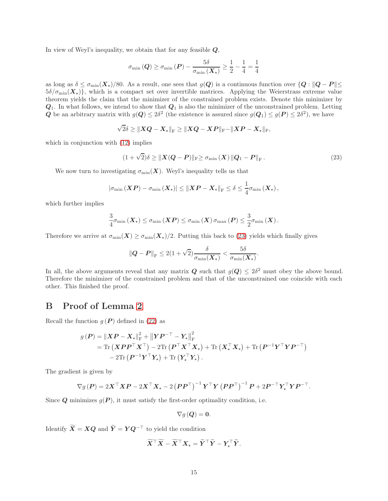In view of Weyl's inequality, we obtain that for any feasible  $Q$ ,

$$
\sigma_{\min}\left(\boldsymbol{Q}\right) \geq \sigma_{\min}\left(\boldsymbol{P}\right) - \frac{5\delta}{\sigma_{\min}\left(\boldsymbol{X}_{\star}\right)} \geq \frac{1}{2} - \frac{1}{4} = \frac{1}{4}
$$

as long as  $\delta \leq \sigma_{\min}(\mathbf{X}_*)/80$ . As a result, one sees that  $g(\mathbf{Q})$  is a continuous function over  $\{Q : ||\mathbf{Q} - P|| \leq \delta\}$  $5\delta/\sigma_{\text{min}}(\mathbf{X}_\star)$ , which is a compact set over invertible matrices. Applying the Weierstrass extreme value theorem yields the claim that the minimizer of the constrained problem exists. Denote this minimizer by  $Q_1$ . In what follows, we intend to show that  $Q_1$  is also the minimizer of the unconstrained problem. Letting Q be an arbitrary matrix with  $g(Q) \leq 2\delta^2$  (the existence is assured since  $g(Q_1) \leq g(P) \leq 2\delta^2$ ), we have

$$
\sqrt{2}\delta \geq \|X\boldsymbol{Q} - \boldsymbol{X}_{\star}\|_{\text{F}} \geq \|X\boldsymbol{Q} - \boldsymbol{X}\boldsymbol{P}\|_{\text{F}} - \|\boldsymbol{X}\boldsymbol{P} - \boldsymbol{X}_{\star}\|_{\text{F}},
$$

which in conjunction with  $(12)$  implies

<span id="page-14-0"></span>
$$
(1+\sqrt{2})\delta \geq ||\boldsymbol{X}(Q-\boldsymbol{P})||_{\mathrm{F}} \geq \sigma_{\min}(\boldsymbol{X}) ||Q_1-\boldsymbol{P}||_{\mathrm{F}}.
$$
\n(23)

We now turn to investigating  $\sigma_{\min}(\boldsymbol{X})$ . Weyl's inequality tells us that

$$
\left|\sigma_{\min}\left(\boldsymbol{X}\boldsymbol{P}\right)-\sigma_{\min}\left(\boldsymbol{X}_{\star}\right)\right| \leq\left\|\boldsymbol{X}\boldsymbol{P}-\boldsymbol{X}_{\star}\right\|_{\mathrm{F}} \leq \delta \leq\frac{1}{4}\sigma_{\min}\left(\boldsymbol{X}_{\star}\right),
$$

which further implies

$$
\frac{3}{4}\sigma_{\min}\left(\boldsymbol X_{\star}\right) \leq \sigma_{\min}\left(\boldsymbol X\boldsymbol P\right) \leq \sigma_{\min}\left(\boldsymbol X\right)\sigma_{\max}\left(\boldsymbol P\right) \leq \frac{3}{2}\sigma_{\min}\left(\boldsymbol X\right).
$$

Therefore we arrive at  $\sigma_{\min}(\mathbf{X}) \geq \sigma_{\min}(\mathbf{X}_{\star})/2$ . Putting this back to [\(23\)](#page-14-0) yields which finally gives

$$
\|\mathbf{Q} - \mathbf{P}\|_{\mathrm{F}} \leq 2(1+\sqrt{2})\frac{\delta}{\sigma_{\min}(\mathbf{X}_{\star})} < \frac{5\delta}{\sigma_{\min}(\mathbf{X}_{\star})}.
$$

In all, the above arguments reveal that any matrix  $Q$  such that  $g(Q) \leq 2\delta^2$  must obey the above bound. Therefore the minimizer of the constrained problem and that of the unconstrained one coincide with each other. This finished the proof.

### B Proof of Lemma [2](#page-6-2)

Recall the function  $g(P)$  defined in [\(22\)](#page-13-0) as

$$
g(\boldsymbol{P}) = \|\boldsymbol{X}\boldsymbol{P} - \boldsymbol{X}_{\star}\|_{\mathrm{F}}^2 + \|\boldsymbol{Y}\boldsymbol{P}^{-\top} - \boldsymbol{Y}_{\star}\|_{\mathrm{F}}^2
$$
  
= Tr( $(\boldsymbol{X}\boldsymbol{P}\boldsymbol{P}^{\top}\boldsymbol{X}^{\top}) - 2\mathrm{Tr}(\boldsymbol{P}^{\top}\boldsymbol{X}^{\top}\boldsymbol{X}_{\star}) + \mathrm{Tr}(\boldsymbol{X}_{\star}^{\top}\boldsymbol{X}_{\star}) + \mathrm{Tr}(\boldsymbol{P}^{-1}\boldsymbol{Y}^{\top}\boldsymbol{Y}\boldsymbol{P}^{-\top})$   
- 2Tr( $(\boldsymbol{P}^{-1}\boldsymbol{Y}^{\top}\boldsymbol{Y}_{\star}) + \mathrm{Tr}(\boldsymbol{Y}_{\star}^{\top}\boldsymbol{Y}_{\star}).$ 

The gradient is given by

$$
\nabla g\left(\boldsymbol{P}\right) = 2\boldsymbol{X}^\top\boldsymbol{X}\boldsymbol{P} - 2\boldsymbol{X}^\top\boldsymbol{X}_\star - 2\left(\boldsymbol{P}\boldsymbol{P}^\top\right)^{-1}\boldsymbol{Y}^\top\boldsymbol{Y}\left(\boldsymbol{P}\boldsymbol{P}^\top\right)^{-1}\boldsymbol{P} + 2\boldsymbol{P}^{-\top}\boldsymbol{Y}_\star^\top\boldsymbol{Y}\boldsymbol{P}^{-\top}.
$$

Since Q minimizes  $g(P)$ , it must satisfy the first-order optimality condition, i.e.

$$
\nabla g\left(\boldsymbol{Q}\right)=\boldsymbol{0}.
$$

Identify  $\widetilde{X} = XQ$  and  $\widetilde{Y} = YQ^{-\top}$  to yield the condition

$$
\widetilde{X}^{\top}\widetilde{X} - \widetilde{X}^{\top}X_{\star} = \widetilde{Y}^{\top}\widetilde{Y} - Y_{\star}^{\top}\widetilde{Y}.
$$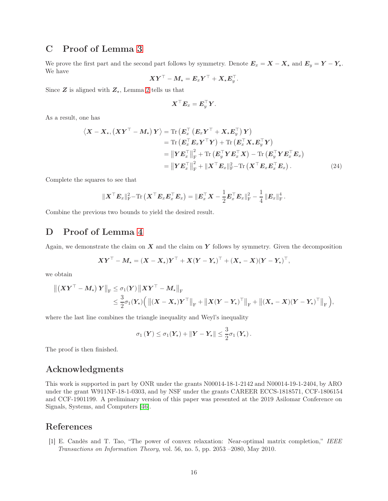### C Proof of Lemma [3](#page-7-4)

We prove the first part and the second part follows by symmetry. Denote  $E_x = X - X_{\star}$  and  $E_y = Y - Y_{\star}$ . We have

$$
\boldsymbol{X}\boldsymbol{Y}^{\top}-\boldsymbol{M}_{\star}=\boldsymbol{E}_{x}\boldsymbol{Y}^{\top}+\boldsymbol{X}_{\star}\boldsymbol{E}_{y}^{\top}.
$$

Since  $Z$  is aligned with  $Z_{\star}$ , Lemma [2](#page-6-2) tells us that

$$
\boldsymbol X^\top \boldsymbol E_x = \boldsymbol E_y^\top \boldsymbol Y.
$$

As a result, one has

$$
\langle \boldsymbol{X} - \boldsymbol{X}_{\star}, (\boldsymbol{X}\boldsymbol{Y}^{\top} - \boldsymbol{M}_{\star}) \boldsymbol{Y} \rangle = \text{Tr} \left( \boldsymbol{E}_{x}^{\top} \left( \boldsymbol{E}_{x} \boldsymbol{Y}^{\top} + \boldsymbol{X}_{\star} \boldsymbol{E}_{y}^{\top} \right) \boldsymbol{Y} \right) \n= \text{Tr} \left( \boldsymbol{E}_{x}^{\top} \boldsymbol{E}_{x} \boldsymbol{Y}^{\top} \boldsymbol{Y} \right) + \text{Tr} \left( \boldsymbol{E}_{x}^{\top} \boldsymbol{X}_{\star} \boldsymbol{E}_{y}^{\top} \boldsymbol{Y} \right) \n= \left\| \boldsymbol{Y} \boldsymbol{E}_{x}^{\top} \right\|_{\text{F}}^{2} + \text{Tr} \left( \boldsymbol{E}_{y}^{\top} \boldsymbol{Y} \boldsymbol{E}_{x}^{\top} \boldsymbol{X} \right) - \text{Tr} \left( \boldsymbol{E}_{y}^{\top} \boldsymbol{Y} \boldsymbol{E}_{x}^{\top} \boldsymbol{E}_{x} \right) \n= \left\| \boldsymbol{Y} \boldsymbol{E}_{x}^{\top} \right\|_{\text{F}}^{2} + \left\| \boldsymbol{X}^{\top} \boldsymbol{E}_{x} \right\|_{\text{F}}^{2} - \text{Tr} \left( \boldsymbol{X}^{\top} \boldsymbol{E}_{x} \boldsymbol{E}_{x}^{\top} \boldsymbol{E}_{x} \right). \tag{24}
$$

Complete the squares to see that

$$
\|\boldsymbol{X}^\top \boldsymbol{E}_x\|_{\mathrm{F}}^2 - \mathrm{Tr}\left(\boldsymbol{X}^\top \boldsymbol{E}_x \boldsymbol{E}_x^\top \boldsymbol{E}_x\right) = \|\boldsymbol{E}_x^\top \boldsymbol{X} - \frac{1}{2} \boldsymbol{E}_x^\top \boldsymbol{E}_x\|_{\mathrm{F}}^2 - \frac{1}{4} \|\boldsymbol{E}_x\|_{\mathrm{F}}^4.
$$

Combine the previous two bounds to yield the desired result.

### D Proof of Lemma [4](#page-7-2)

Again, we demonstrate the claim on  $X$  and the claim on  $Y$  follows by symmetry. Given the decomposition

$$
\boldsymbol{X}\boldsymbol{Y}^{\top}-\boldsymbol{M}_{\star}=(\boldsymbol{X}-\boldsymbol{X}_{\star})\boldsymbol{Y}^{\top}+\boldsymbol{X}(\boldsymbol{Y}-\boldsymbol{Y}_{\star})^{\top}+(\boldsymbol{X}_{\star}-\boldsymbol{X})(\boldsymbol{Y}-\boldsymbol{Y}_{\star})^{\top},
$$

we obtain

$$
\begin{aligned} \left\| \left( \boldsymbol{X} \boldsymbol{Y}^\top - \boldsymbol{M}_\star \right) \boldsymbol{Y} \right\|_{\text{F}} &\leq \sigma_1(\boldsymbol{Y}) \left\| \boldsymbol{X} \boldsymbol{Y}^\top - \boldsymbol{M}_\star \right\|_{\text{F}} \\ & \leq \frac{3}{2} \sigma_1(\boldsymbol{Y}_\star) \Big( \left\| (\boldsymbol{X} - \boldsymbol{X}_\star) \boldsymbol{Y}^\top \right\|_{\text{F}} + \left\| \boldsymbol{X} (\boldsymbol{Y} - \boldsymbol{Y}_\star)^\top \right\|_{\text{F}} + \left\| (\boldsymbol{X}_\star - \boldsymbol{X}) (\boldsymbol{Y} - \boldsymbol{Y}_\star)^\top \right\|_{\text{F}} \Big), \end{aligned}
$$

where the last line combines the triangle inequality and Weyl's inequality

$$
\sigma_1(Y) \leq \sigma_1(Y_\star) + \|Y - Y_\star\| \leq \frac{3}{2}\sigma_1(Y_\star).
$$

The proof is then finished.

## Acknowledgments

This work is supported in part by ONR under the grants N00014-18-1-2142 and N00014-19-1-2404, by ARO under the grant W911NF-18-1-0303, and by NSF under the grants CAREER ECCS-1818571, CCF-1806154 and CCF-1901199. A preliminary version of this paper was presented at the 2019 Asilomar Conference on Signals, Systems, and Computers [\[46\]](#page-18-6).

### <span id="page-15-0"></span>References

[1] E. Candès and T. Tao, "The power of convex relaxation: Near-optimal matrix completion," IEEE Transactions on Information Theory, vol. 56, no. 5, pp. 2053 –2080, May 2010.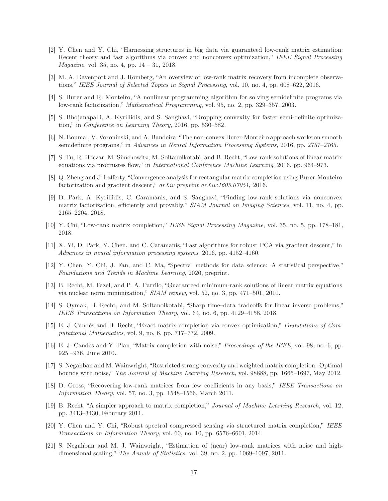- <span id="page-16-0"></span>[2] Y. Chen and Y. Chi, "Harnessing structures in big data via guaranteed low-rank matrix estimation: Recent theory and fast algorithms via convex and nonconvex optimization," IEEE Signal Processing Magazine, vol. 35, no. 4, pp. 14 – 31, 2018.
- <span id="page-16-2"></span><span id="page-16-1"></span>[3] M. A. Davenport and J. Romberg, "An overview of low-rank matrix recovery from incomplete observations," IEEE Journal of Selected Topics in Signal Processing, vol. 10, no. 4, pp. 608–622, 2016.
- <span id="page-16-3"></span>[4] S. Burer and R. Monteiro, "A nonlinear programming algorithm for solving semidefinite programs via low-rank factorization," Mathematical Programming, vol. 95, no. 2, pp. 329–357, 2003.
- <span id="page-16-4"></span>[5] S. Bhojanapalli, A. Kyrillidis, and S. Sanghavi, "Dropping convexity for faster semi-definite optimization," in Conference on Learning Theory, 2016, pp. 530–582.
- [6] N. Boumal, V. Voroninski, and A. Bandeira, "The non-convex Burer-Monteiro approach works on smooth semidefinite programs," in Advances in Neural Information Processing Systems, 2016, pp. 2757–2765.
- <span id="page-16-5"></span>[7] S. Tu, R. Boczar, M. Simchowitz, M. Soltanolkotabi, and B. Recht, "Low-rank solutions of linear matrix equations via procrustes flow," in International Conference Machine Learning, 2016, pp. 964–973.
- <span id="page-16-6"></span>[8] Q. Zheng and J. Lafferty, "Convergence analysis for rectangular matrix completion using Burer-Monteiro factorization and gradient descent," arXiv preprint arXiv:1605.07051, 2016.
- <span id="page-16-7"></span>[9] D. Park, A. Kyrillidis, C. Caramanis, and S. Sanghavi, "Finding low-rank solutions via nonconvex matrix factorization, efficiently and provably," SIAM Journal on Imaging Sciences, vol. 11, no. 4, pp. 2165–2204, 2018.
- <span id="page-16-9"></span><span id="page-16-8"></span>[10] Y. Chi, "Low-rank matrix completion," IEEE Signal Processing Magazine, vol. 35, no. 5, pp. 178–181, 2018.
- <span id="page-16-10"></span>[11] X. Yi, D. Park, Y. Chen, and C. Caramanis, "Fast algorithms for robust PCA via gradient descent," in Advances in neural information processing systems, 2016, pp. 4152–4160.
- [12] Y. Chen, Y. Chi, J. Fan, and C. Ma, "Spectral methods for data science: A statistical perspective," Foundations and Trends in Machine Learning, 2020, preprint.
- <span id="page-16-11"></span>[13] B. Recht, M. Fazel, and P. A. Parrilo, "Guaranteed minimum-rank solutions of linear matrix equations via nuclear norm minimization," SIAM review, vol. 52, no. 3, pp. 471–501, 2010.
- <span id="page-16-12"></span>[14] S. Oymak, B. Recht, and M. Soltanolkotabi, "Sharp time–data tradeoffs for linear inverse problems," IEEE Transactions on Information Theory, vol. 64, no. 6, pp. 4129–4158, 2018.
- <span id="page-16-14"></span><span id="page-16-13"></span>[15] E. J. Candès and B. Recht, "Exact matrix completion via convex optimization," Foundations of Computational Mathematics, vol. 9, no. 6, pp. 717–772, 2009.
- [16] E. J. Candès and Y. Plan, "Matrix completion with noise," Proceedings of the IEEE, vol. 98, no. 6, pp. 925 –936, June 2010.
- <span id="page-16-15"></span>[17] S. Negahban and M. Wainwright, "Restricted strong convexity and weighted matrix completion: Optimal bounds with noise," The Journal of Machine Learning Research, vol. 98888, pp. 1665–1697, May 2012.
- <span id="page-16-16"></span>[18] D. Gross, "Recovering low-rank matrices from few coefficients in any basis," IEEE Transactions on Information Theory, vol. 57, no. 3, pp. 1548–1566, March 2011.
- <span id="page-16-17"></span>[19] B. Recht, "A simpler approach to matrix completion," Journal of Machine Learning Research, vol. 12, pp. 3413–3430, Feburary 2011.
- <span id="page-16-18"></span>[20] Y. Chen and Y. Chi, "Robust spectral compressed sensing via structured matrix completion," IEEE Transactions on Information Theory, vol. 60, no. 10, pp. 6576–6601, 2014.
- <span id="page-16-19"></span>[21] S. Negahban and M. J. Wainwright, "Estimation of (near) low-rank matrices with noise and highdimensional scaling," The Annals of Statistics, vol. 39, no. 2, pp. 1069–1097, 2011.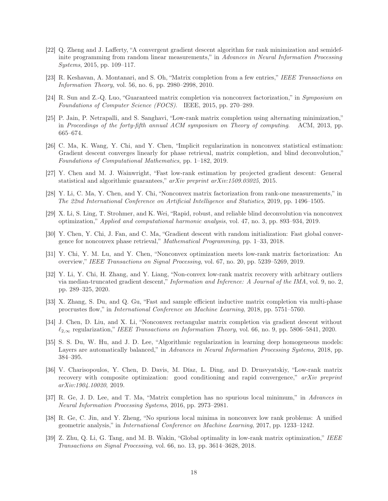- <span id="page-17-0"></span>[22] Q. Zheng and J. Lafferty, "A convergent gradient descent algorithm for rank minimization and semidefinite programming from random linear measurements," in Advances in Neural Information Processing Systems, 2015, pp. 109–117.
- <span id="page-17-2"></span><span id="page-17-1"></span>[23] R. Keshavan, A. Montanari, and S. Oh, "Matrix completion from a few entries," IEEE Transactions on Information Theory, vol. 56, no. 6, pp. 2980–2998, 2010.
- [24] R. Sun and Z.-Q. Luo, "Guaranteed matrix completion via nonconvex factorization," in Symposium on Foundations of Computer Science (FOCS). IEEE, 2015, pp. 270–289.
- <span id="page-17-3"></span>[25] P. Jain, P. Netrapalli, and S. Sanghavi, "Low-rank matrix completion using alternating minimization," in Proceedings of the forty-fifth annual ACM symposium on Theory of computing. ACM, 2013, pp. 665–674.
- <span id="page-17-4"></span>[26] C. Ma, K. Wang, Y. Chi, and Y. Chen, "Implicit regularization in nonconvex statistical estimation: Gradient descent converges linearly for phase retrieval, matrix completion, and blind deconvolution," Foundations of Computational Mathematics, pp. 1–182, 2019.
- <span id="page-17-6"></span><span id="page-17-5"></span>[27] Y. Chen and M. J. Wainwright, "Fast low-rank estimation by projected gradient descent: General statistical and algorithmic guarantees," arXiv preprint arXiv:1509.03025, 2015.
- <span id="page-17-7"></span>[28] Y. Li, C. Ma, Y. Chen, and Y. Chi, "Nonconvex matrix factorization from rank-one measurements," in The 22nd International Conference on Artificial Intelligence and Statistics, 2019, pp. 1496–1505.
- [29] X. Li, S. Ling, T. Strohmer, and K. Wei, "Rapid, robust, and reliable blind deconvolution via nonconvex optimization," Applied and computational harmonic analysis, vol. 47, no. 3, pp. 893–934, 2019.
- <span id="page-17-8"></span>[30] Y. Chen, Y. Chi, J. Fan, and C. Ma, "Gradient descent with random initialization: Fast global convergence for nonconvex phase retrieval," Mathematical Programming, pp. 1–33, 2018.
- <span id="page-17-9"></span>[31] Y. Chi, Y. M. Lu, and Y. Chen, "Nonconvex optimization meets low-rank matrix factorization: An overview," IEEE Transactions on Signal Processing, vol. 67, no. 20, pp. 5239–5269, 2019.
- <span id="page-17-10"></span>[32] Y. Li, Y. Chi, H. Zhang, and Y. Liang, "Non-convex low-rank matrix recovery with arbitrary outliers via median-truncated gradient descent," Information and Inference: A Journal of the IMA, vol. 9, no. 2, pp. 289–325, 2020.
- <span id="page-17-11"></span>[33] X. Zhang, S. Du, and Q. Gu, "Fast and sample efficient inductive matrix completion via multi-phase procrustes flow," in International Conference on Machine Learning, 2018, pp. 5751–5760.
- <span id="page-17-12"></span>[34] J. Chen, D. Liu, and X. Li, "Nonconvex rectangular matrix completion via gradient descent without  $\ell_{2,\infty}$  regularization," IEEE Transactions on Information Theory, vol. 66, no. 9, pp. 5806–5841, 2020.
- <span id="page-17-13"></span>[35] S. S. Du, W. Hu, and J. D. Lee, "Algorithmic regularization in learning deep homogeneous models: Layers are automatically balanced," in Advances in Neural Information Processing Systems, 2018, pp. 384–395.
- <span id="page-17-14"></span>[36] V. Charisopoulos, Y. Chen, D. Davis, M. Díaz, L. Ding, and D. Drusvyatskiy, "Low-rank matrix recovery with composite optimization: good conditioning and rapid convergence," arXiv preprint arXiv:1904.10020, 2019.
- <span id="page-17-15"></span>[37] R. Ge, J. D. Lee, and T. Ma, "Matrix completion has no spurious local minimum," in Advances in Neural Information Processing Systems, 2016, pp. 2973–2981.
- <span id="page-17-16"></span>[38] R. Ge, C. Jin, and Y. Zheng, "No spurious local minima in nonconvex low rank problems: A unified geometric analysis," in International Conference on Machine Learning, 2017, pp. 1233–1242.
- <span id="page-17-17"></span>[39] Z. Zhu, Q. Li, G. Tang, and M. B. Wakin, "Global optimality in low-rank matrix optimization," IEEE Transactions on Signal Processing, vol. 66, no. 13, pp. 3614–3628, 2018.